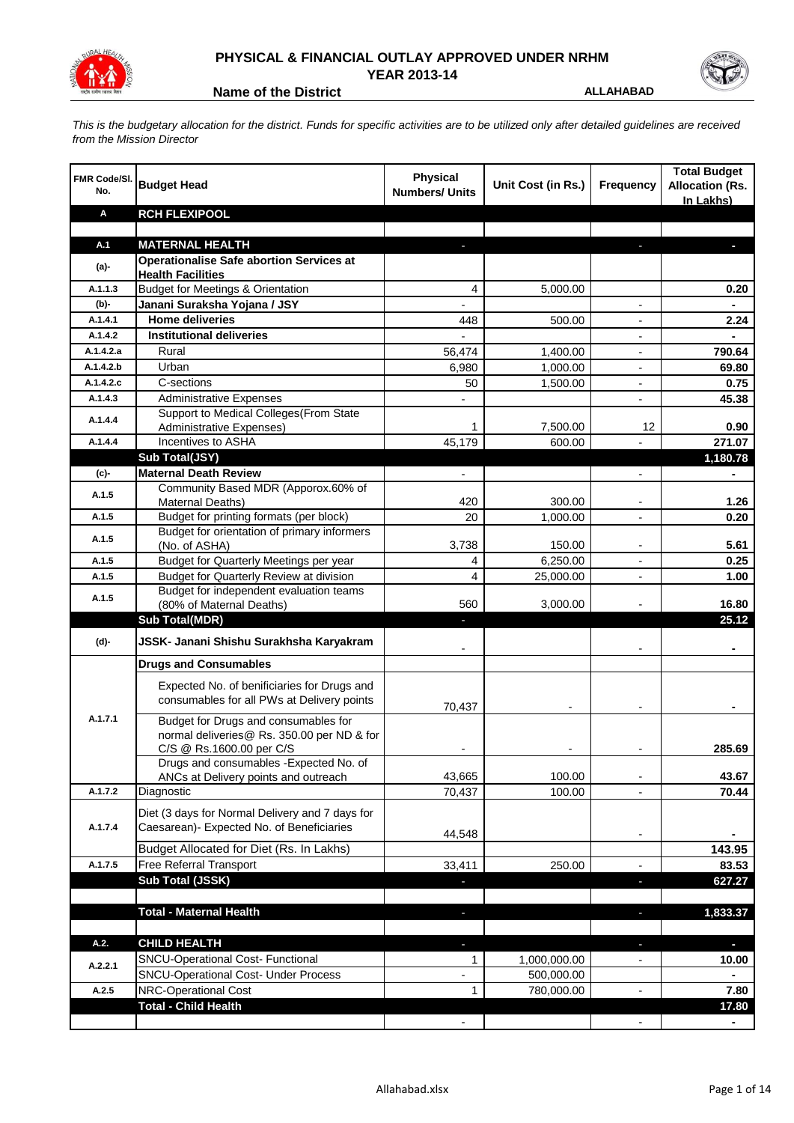

## **PHYSICAL & FINANCIAL OUTLAY APPROVED UNDER NRHM YEAR 2013-14**

**Name of the District ALLAHABAD** 

*This is the budgetary allocation for the district. Funds for specific activities are to be utilized only after detailed guidelines are received from the Mission Director*

| <b>FMR Code/SI.</b><br>No. | <b>Budget Head</b>                                                                        | <b>Physical</b><br><b>Numbers/ Units</b> | Unit Cost (in Rs.) | <b>Frequency</b>             | <b>Total Budget</b><br><b>Allocation (Rs.</b><br>In Lakhs) |
|----------------------------|-------------------------------------------------------------------------------------------|------------------------------------------|--------------------|------------------------------|------------------------------------------------------------|
| Α                          | <b>RCH FLEXIPOOL</b>                                                                      |                                          |                    |                              |                                                            |
|                            |                                                                                           |                                          |                    |                              |                                                            |
| A.1                        | <b>MATERNAL HEALTH</b>                                                                    |                                          |                    |                              |                                                            |
| (a)-                       | <b>Operationalise Safe abortion Services at</b>                                           |                                          |                    |                              |                                                            |
| A.1.1.3                    | <b>Health Facilities</b><br><b>Budget for Meetings &amp; Orientation</b>                  | 4                                        | 5,000.00           |                              | 0.20                                                       |
| (b)-                       | Janani Suraksha Yojana / JSY                                                              | ۰                                        |                    | $\overline{\phantom{a}}$     | ä,                                                         |
| A.1.4.1                    | <b>Home deliveries</b>                                                                    | 448                                      | 500.00             |                              | 2.24                                                       |
| A.1.4.2                    | <b>Institutional deliveries</b>                                                           |                                          |                    |                              |                                                            |
| A.1.4.2.a                  | Rural                                                                                     | 56.474                                   | 1,400.00           | $\overline{\phantom{a}}$     | 790.64                                                     |
| A.1.4.2.b                  | Urban                                                                                     | 6,980                                    | 1,000.00           |                              | 69.80                                                      |
| A.1.4.2.c                  | C-sections                                                                                | 50                                       | 1,500.00           |                              | 0.75                                                       |
| A.1.4.3                    | <b>Administrative Expenses</b>                                                            |                                          |                    |                              | 45.38                                                      |
|                            | Support to Medical Colleges (From State                                                   |                                          |                    |                              |                                                            |
| A.1.4.4                    | Administrative Expenses)                                                                  | 1                                        | 7,500.00           | 12                           | 0.90                                                       |
| A.1.4.4                    | Incentives to ASHA                                                                        | 45,179                                   | 600.00             |                              | 271.07                                                     |
|                            | Sub Total(JSY)                                                                            |                                          |                    |                              | 1,180.78                                                   |
| (c)-                       | <b>Maternal Death Review</b>                                                              | ÷,                                       |                    | $\overline{\phantom{a}}$     | Ξ.                                                         |
| A.1.5                      | Community Based MDR (Apporox.60% of                                                       |                                          |                    |                              |                                                            |
|                            | Maternal Deaths)                                                                          | 420                                      | 300.00             |                              | 1.26                                                       |
| A.1.5                      | Budget for printing formats (per block)                                                   | 20                                       | 1,000.00           | $\overline{\phantom{a}}$     | 0.20                                                       |
| A.1.5                      | Budget for orientation of primary informers<br>(No. of ASHA)                              | 3,738                                    | 150.00             | $\qquad \qquad \blacksquare$ | 5.61                                                       |
| A.1.5                      | Budget for Quarterly Meetings per year                                                    | 4                                        | 6,250.00           | $\overline{\phantom{a}}$     | 0.25                                                       |
| A.1.5                      | Budget for Quarterly Review at division                                                   | 4                                        | 25,000.00          | $\overline{\phantom{a}}$     | 1.00                                                       |
|                            | Budget for independent evaluation teams                                                   |                                          |                    |                              |                                                            |
| A.1.5                      | (80% of Maternal Deaths)                                                                  | 560                                      | 3,000.00           |                              | 16.80                                                      |
|                            | <b>Sub Total(MDR)</b>                                                                     |                                          |                    |                              | 25.12                                                      |
| (d)-                       | JSSK- Janani Shishu Surakhsha Karyakram                                                   |                                          |                    |                              |                                                            |
|                            | <b>Drugs and Consumables</b>                                                              |                                          |                    |                              |                                                            |
|                            | Expected No. of benificiaries for Drugs and<br>consumables for all PWs at Delivery points | 70,437                                   |                    |                              |                                                            |
| A.1.7.1                    | Budget for Drugs and consumables for<br>normal deliveries@ Rs. 350.00 per ND & for        |                                          |                    |                              |                                                            |
|                            | C/S @ Rs.1600.00 per C/S                                                                  |                                          |                    |                              | 285.69                                                     |
|                            | Drugs and consumables - Expected No. of<br>ANCs at Delivery points and outreach           | 43,665                                   | 100.00             |                              | 43.67                                                      |
| A.1.7.2                    | Diagnostic                                                                                | 70,437                                   | 100.00             |                              | 70.44                                                      |
|                            |                                                                                           |                                          |                    |                              |                                                            |
|                            | Diet (3 days for Normal Delivery and 7 days for                                           |                                          |                    |                              |                                                            |
| A.1.7.4                    | Caesarean)- Expected No. of Beneficiaries                                                 | 44,548                                   |                    | $\overline{\phantom{a}}$     |                                                            |
|                            | Budget Allocated for Diet (Rs. In Lakhs)                                                  |                                          |                    |                              | 143.95                                                     |
| A.1.7.5                    | Free Referral Transport                                                                   | 33,411                                   | 250.00             | $\overline{\phantom{a}}$     | 83.53                                                      |
|                            | Sub Total (JSSK)                                                                          | ٠                                        |                    | ٠                            | 627.27                                                     |
|                            |                                                                                           |                                          |                    |                              |                                                            |
|                            | <b>Total - Maternal Health</b>                                                            | ٠                                        |                    | ٠                            | 1,833.37                                                   |
| A.2.                       | <b>CHILD HEALTH</b>                                                                       | ٠                                        |                    | ٠                            | P.                                                         |
|                            | SNCU-Operational Cost- Functional                                                         | 1                                        | 1,000,000.00       |                              | 10.00                                                      |
| A.2.2.1                    | <b>SNCU-Operational Cost- Under Process</b>                                               |                                          | 500,000.00         |                              | ٠                                                          |
| A.2.5                      | <b>NRC-Operational Cost</b>                                                               | 1                                        | 780,000.00         |                              | 7.80                                                       |
|                            | <b>Total - Child Health</b>                                                               |                                          |                    |                              | 17.80                                                      |
|                            |                                                                                           |                                          |                    |                              |                                                            |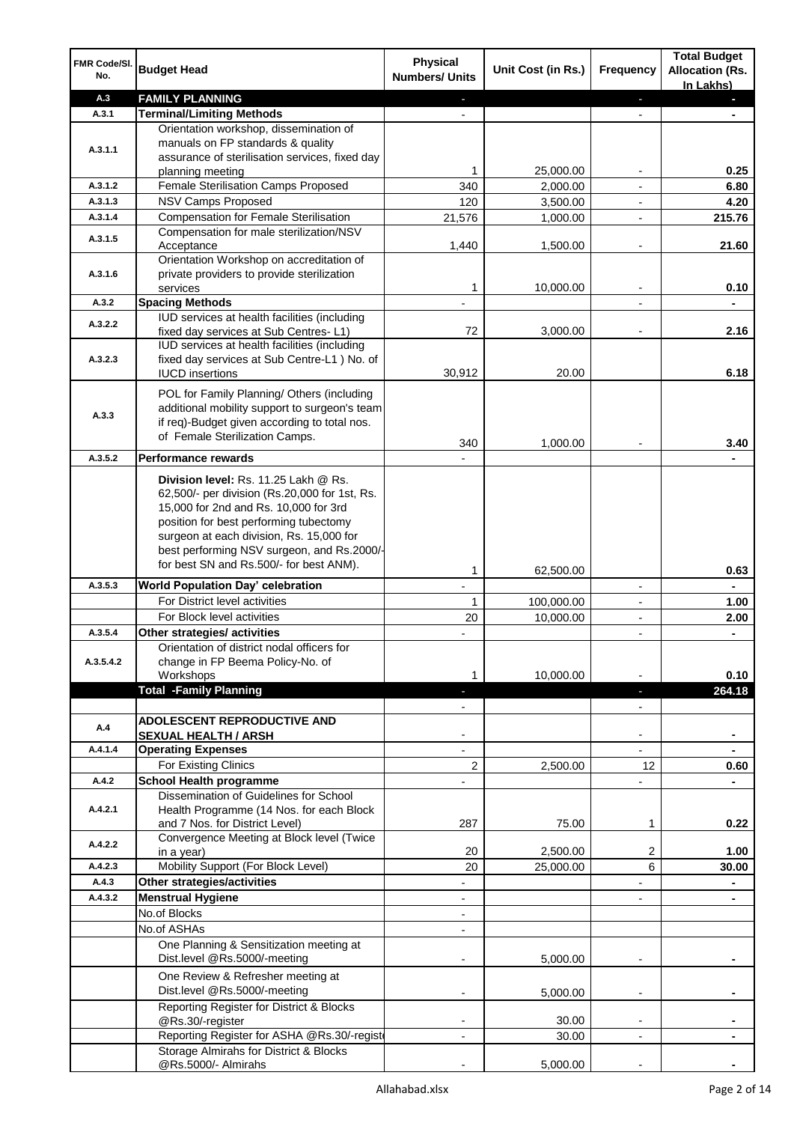| <b>FMR Code/SI.</b><br>No. | <b>Budget Head</b>                                                                                                                                                       | Physical<br><b>Numbers/ Units</b> | Unit Cost (in Rs.) | Frequency                | <b>Total Budget</b><br><b>Allocation (Rs.</b><br>In Lakhs) |
|----------------------------|--------------------------------------------------------------------------------------------------------------------------------------------------------------------------|-----------------------------------|--------------------|--------------------------|------------------------------------------------------------|
| A.3                        | <b>FAMILY PLANNING</b>                                                                                                                                                   | a,                                |                    | ٠                        | ٠                                                          |
| A.3.1                      | <b>Terminal/Limiting Methods</b>                                                                                                                                         |                                   |                    |                          |                                                            |
| A.3.1.1                    | Orientation workshop, dissemination of<br>manuals on FP standards & quality                                                                                              |                                   |                    |                          |                                                            |
|                            | assurance of sterilisation services, fixed day                                                                                                                           | 1                                 | 25,000.00          |                          | 0.25                                                       |
| A.3.1.2                    | planning meeting<br>Female Sterilisation Camps Proposed                                                                                                                  | 340                               | 2,000.00           |                          | 6.80                                                       |
| A.3.1.3                    | NSV Camps Proposed                                                                                                                                                       | 120                               | 3,500.00           | $\overline{a}$           | 4.20                                                       |
| A.3.1.4                    | <b>Compensation for Female Sterilisation</b>                                                                                                                             | 21,576                            | 1,000.00           | ÷,                       | 215.76                                                     |
|                            | Compensation for male sterilization/NSV                                                                                                                                  |                                   |                    |                          |                                                            |
| A.3.1.5                    | Acceptance<br>Orientation Workshop on accreditation of                                                                                                                   | 1,440                             | 1,500.00           |                          | 21.60                                                      |
| A.3.1.6                    | private providers to provide sterilization<br>services                                                                                                                   | 1                                 | 10,000.00          | $\overline{\phantom{a}}$ | 0.10                                                       |
| A.3.2                      | <b>Spacing Methods</b>                                                                                                                                                   |                                   |                    |                          |                                                            |
| A.3.2.2                    | IUD services at health facilities (including                                                                                                                             |                                   |                    |                          |                                                            |
|                            | fixed day services at Sub Centres-L1)                                                                                                                                    | 72                                | 3,000.00           |                          | 2.16                                                       |
|                            | IUD services at health facilities (including                                                                                                                             |                                   |                    |                          |                                                            |
| A.3.2.3                    | fixed day services at Sub Centre-L1 ) No. of                                                                                                                             |                                   |                    |                          |                                                            |
|                            | <b>IUCD</b> insertions                                                                                                                                                   | 30,912                            | 20.00              |                          | 6.18                                                       |
| A.3.3                      | POL for Family Planning/ Others (including<br>additional mobility support to surgeon's team                                                                              |                                   |                    |                          |                                                            |
|                            | if req)-Budget given according to total nos.                                                                                                                             |                                   |                    |                          |                                                            |
|                            | of Female Sterilization Camps.                                                                                                                                           | 340                               | 1,000.00           |                          | 3.40                                                       |
| A.3.5.2                    | Performance rewards                                                                                                                                                      |                                   |                    |                          |                                                            |
|                            | Division level: Rs. 11.25 Lakh @ Rs.<br>62,500/- per division (Rs.20,000 for 1st, Rs.<br>15,000 for 2nd and Rs. 10,000 for 3rd<br>position for best performing tubectomy |                                   |                    |                          |                                                            |
|                            | surgeon at each division, Rs. 15,000 for                                                                                                                                 |                                   |                    |                          |                                                            |
|                            | best performing NSV surgeon, and Rs.2000/-                                                                                                                               |                                   |                    |                          |                                                            |
|                            | for best SN and Rs.500/- for best ANM).                                                                                                                                  | 1                                 | 62,500.00          |                          | 0.63                                                       |
| A.3.5.3                    | <b>World Population Day' celebration</b>                                                                                                                                 |                                   |                    | $\overline{\phantom{a}}$ |                                                            |
|                            | For District level activities                                                                                                                                            | 1                                 | 100,000.00         |                          | 1.00                                                       |
|                            | For Block level activities                                                                                                                                               | 20                                | 10,000.00          |                          | 2.00                                                       |
| A.3.5.4                    | Other strategies/ activities                                                                                                                                             |                                   |                    | $\overline{a}$           |                                                            |
|                            | Orientation of district nodal officers for                                                                                                                               |                                   |                    |                          |                                                            |
| A.3.5.4.2                  | change in FP Beema Policy-No. of                                                                                                                                         |                                   |                    |                          |                                                            |
|                            | Workshops                                                                                                                                                                | 1                                 | 10,000.00          |                          | 0.10                                                       |
|                            | <b>Total -Family Planning</b>                                                                                                                                            | J,                                |                    | ٠                        | 264.18                                                     |
|                            |                                                                                                                                                                          |                                   |                    |                          |                                                            |
| A.4                        | <b>ADOLESCENT REPRODUCTIVE AND</b>                                                                                                                                       |                                   |                    |                          |                                                            |
|                            | <b>SEXUAL HEALTH / ARSH</b>                                                                                                                                              |                                   |                    |                          |                                                            |
| A.4.1.4                    | <b>Operating Expenses</b>                                                                                                                                                |                                   |                    |                          |                                                            |
| A.4.2                      | For Existing Clinics                                                                                                                                                     | 2                                 | 2,500.00           | 12                       | 0.60                                                       |
|                            | <b>School Health programme</b><br>Dissemination of Guidelines for School                                                                                                 |                                   |                    |                          |                                                            |
| A.4.2.1                    | Health Programme (14 Nos. for each Block<br>and 7 Nos. for District Level)                                                                                               | 287                               | 75.00              | 1                        | 0.22                                                       |
|                            | Convergence Meeting at Block level (Twice                                                                                                                                |                                   |                    |                          |                                                            |
| A.4.2.2                    | in a year)                                                                                                                                                               | 20                                | 2,500.00           | 2                        | 1.00                                                       |
| A.4.2.3                    | Mobility Support (For Block Level)                                                                                                                                       | 20                                | 25,000.00          | 6                        | 30.00                                                      |
| A.4.3                      | Other strategies/activities                                                                                                                                              |                                   |                    |                          |                                                            |
| A.4.3.2                    | <b>Menstrual Hygiene</b>                                                                                                                                                 |                                   |                    |                          |                                                            |
|                            | No.of Blocks                                                                                                                                                             | $\overline{\phantom{a}}$          |                    |                          |                                                            |
|                            | No.of ASHAs                                                                                                                                                              | $\overline{\phantom{a}}$          |                    |                          |                                                            |
|                            | One Planning & Sensitization meeting at<br>Dist.level @Rs.5000/-meeting                                                                                                  |                                   | 5,000.00           |                          |                                                            |
|                            | One Review & Refresher meeting at<br>Dist.level @Rs.5000/-meeting                                                                                                        |                                   | 5,000.00           |                          |                                                            |
|                            | Reporting Register for District & Blocks                                                                                                                                 |                                   |                    |                          |                                                            |
|                            | @Rs.30/-register                                                                                                                                                         |                                   | 30.00              |                          |                                                            |
|                            | Reporting Register for ASHA @Rs.30/-regist                                                                                                                               | $\blacksquare$                    | 30.00              | $\overline{\phantom{a}}$ |                                                            |
|                            | Storage Almirahs for District & Blocks<br>@Rs.5000/- Almirahs                                                                                                            |                                   | 5,000.00           |                          |                                                            |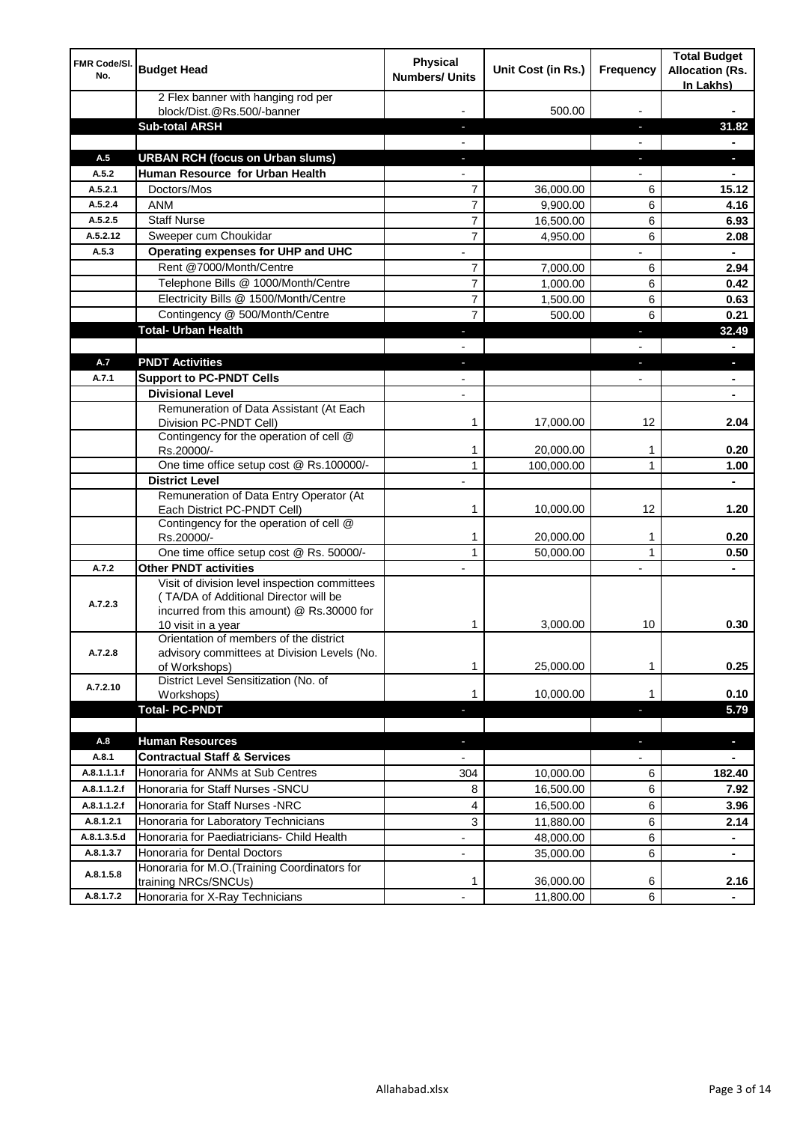| <b>FMR Code/SI.</b><br>No. | <b>Budget Head</b>                                                                                                                                        | <b>Physical</b><br><b>Numbers/ Units</b> | Unit Cost (in Rs.)     | <b>Frequency</b>         | <b>Total Budget</b><br><b>Allocation (Rs.</b><br>In Lakhs) |
|----------------------------|-----------------------------------------------------------------------------------------------------------------------------------------------------------|------------------------------------------|------------------------|--------------------------|------------------------------------------------------------|
|                            | 2 Flex banner with hanging rod per<br>block/Dist.@Rs.500/-banner                                                                                          |                                          | 500.00                 |                          |                                                            |
|                            | <b>Sub-total ARSH</b>                                                                                                                                     |                                          |                        |                          | 31.82                                                      |
| A.5                        | <b>URBAN RCH (focus on Urban slums)</b>                                                                                                                   |                                          |                        |                          | E.                                                         |
| A.5.2                      | Human Resource for Urban Health                                                                                                                           |                                          |                        |                          |                                                            |
| A.5.2.1                    | Doctors/Mos                                                                                                                                               | 7                                        | 36,000.00              | 6                        | 15.12                                                      |
| A.5.2.4                    | <b>ANM</b>                                                                                                                                                | $\overline{7}$                           | 9,900.00               | 6                        | 4.16                                                       |
| A.5.2.5                    | <b>Staff Nurse</b>                                                                                                                                        | $\overline{7}$                           | 16,500.00              | 6                        | 6.93                                                       |
| A.5.2.12                   | Sweeper cum Choukidar                                                                                                                                     | $\overline{7}$                           | 4,950.00               | 6                        | 2.08                                                       |
| A.5.3                      | Operating expenses for UHP and UHC                                                                                                                        |                                          |                        |                          |                                                            |
|                            | Rent @7000/Month/Centre                                                                                                                                   | $\overline{7}$                           | 7,000.00               | 6                        | 2.94                                                       |
|                            | Telephone Bills @ 1000/Month/Centre                                                                                                                       | $\overline{7}$                           | 1,000.00               | 6                        | 0.42                                                       |
|                            | Electricity Bills @ 1500/Month/Centre                                                                                                                     | $\overline{7}$                           | 1,500.00               | 6                        | 0.63                                                       |
|                            | Contingency @ 500/Month/Centre                                                                                                                            | 7                                        | 500.00                 | 6                        | 0.21                                                       |
|                            | <b>Total- Urban Health</b>                                                                                                                                |                                          |                        | ٠                        | 32.49                                                      |
|                            |                                                                                                                                                           |                                          |                        | $\overline{\phantom{0}}$ | ٠                                                          |
| A.7                        | <b>PNDT Activities</b>                                                                                                                                    | $\overline{\phantom{a}}$                 |                        | ÷,                       | a,                                                         |
| A.7.1                      | <b>Support to PC-PNDT Cells</b>                                                                                                                           |                                          |                        | $\overline{\phantom{0}}$ |                                                            |
|                            | <b>Divisional Level</b>                                                                                                                                   | $\overline{a}$                           |                        |                          | ä,                                                         |
|                            | Remuneration of Data Assistant (At Each<br>Division PC-PNDT Cell)                                                                                         | 1                                        | 17,000.00              | 12                       | 2.04                                                       |
|                            | Contingency for the operation of cell @<br>Rs.20000/-                                                                                                     | 1                                        | 20,000.00              | 1                        | 0.20                                                       |
|                            | One time office setup cost @ Rs.100000/-                                                                                                                  | $\mathbf{1}$                             | 100,000.00             | $\mathbf{1}$             | 1.00                                                       |
|                            | <b>District Level</b>                                                                                                                                     | $\overline{a}$                           |                        |                          | ٠                                                          |
|                            | Remuneration of Data Entry Operator (At<br>Each District PC-PNDT Cell)                                                                                    | 1                                        | 10,000.00              | 12                       | 1.20                                                       |
|                            | Contingency for the operation of cell @<br>Rs.20000/-                                                                                                     | 1                                        | 20,000.00              | 1                        | 0.20                                                       |
|                            | One time office setup cost @ Rs. 50000/-                                                                                                                  | $\mathbf{1}$                             | 50,000.00              | 1                        | 0.50                                                       |
| A.7.2                      | <b>Other PNDT activities</b>                                                                                                                              |                                          |                        |                          |                                                            |
| A.7.2.3                    | Visit of division level inspection committees<br>(TA/DA of Additional Director will be<br>incurred from this amount) @ Rs.30000 for<br>10 visit in a year | 1                                        | 3,000.00               | 10                       | 0.30                                                       |
| A.7.2.8                    | Orientation of members of the district<br>advisory committees at Division Levels (No.                                                                     |                                          |                        |                          |                                                            |
|                            | of Workshops)                                                                                                                                             | 1                                        | 25,000.00              | 1                        | 0.25                                                       |
| A.7.2.10                   | District Level Sensitization (No. of<br>Workshops)                                                                                                        | 1                                        | 10,000.00              | 1                        | 0.10                                                       |
|                            | <b>Total- PC-PNDT</b>                                                                                                                                     | E.                                       |                        | ı                        | 5.79                                                       |
|                            |                                                                                                                                                           |                                          |                        |                          |                                                            |
| A.8                        | <b>Human Resources</b>                                                                                                                                    |                                          |                        | ÷,                       | ٠                                                          |
| A.8.1                      | <b>Contractual Staff &amp; Services</b>                                                                                                                   |                                          |                        |                          |                                                            |
| A.8.1.1.1.f                | Honoraria for ANMs at Sub Centres                                                                                                                         | 304                                      | 10,000.00              | 6                        | 182.40                                                     |
| A.8.1.1.2.f                | Honoraria for Staff Nurses - SNCU                                                                                                                         | 8                                        | 16,500.00              | 6                        | 7.92                                                       |
| A.8.1.1.2.f                | Honoraria for Staff Nurses -NRC                                                                                                                           | 4                                        | 16,500.00              | 6                        | 3.96                                                       |
| A.8.1.2.1                  | Honoraria for Laboratory Technicians                                                                                                                      | 3                                        | 11,880.00              | 6                        | 2.14                                                       |
| A.8.1.3.5.d                | Honoraria for Paediatricians- Child Health                                                                                                                |                                          | 48,000.00              | 6                        |                                                            |
| A.8.1.3.7                  | Honoraria for Dental Doctors<br>Honoraria for M.O.(Training Coordinators for                                                                              | ÷,                                       | 35,000.00              | 6                        | ۰                                                          |
| A.8.1.5.8<br>A.8.1.7.2     | training NRCs/SNCUs)<br>Honoraria for X-Ray Technicians                                                                                                   | 1                                        | 36,000.00<br>11,800.00 | 6<br>6                   | 2.16                                                       |
|                            |                                                                                                                                                           |                                          |                        |                          |                                                            |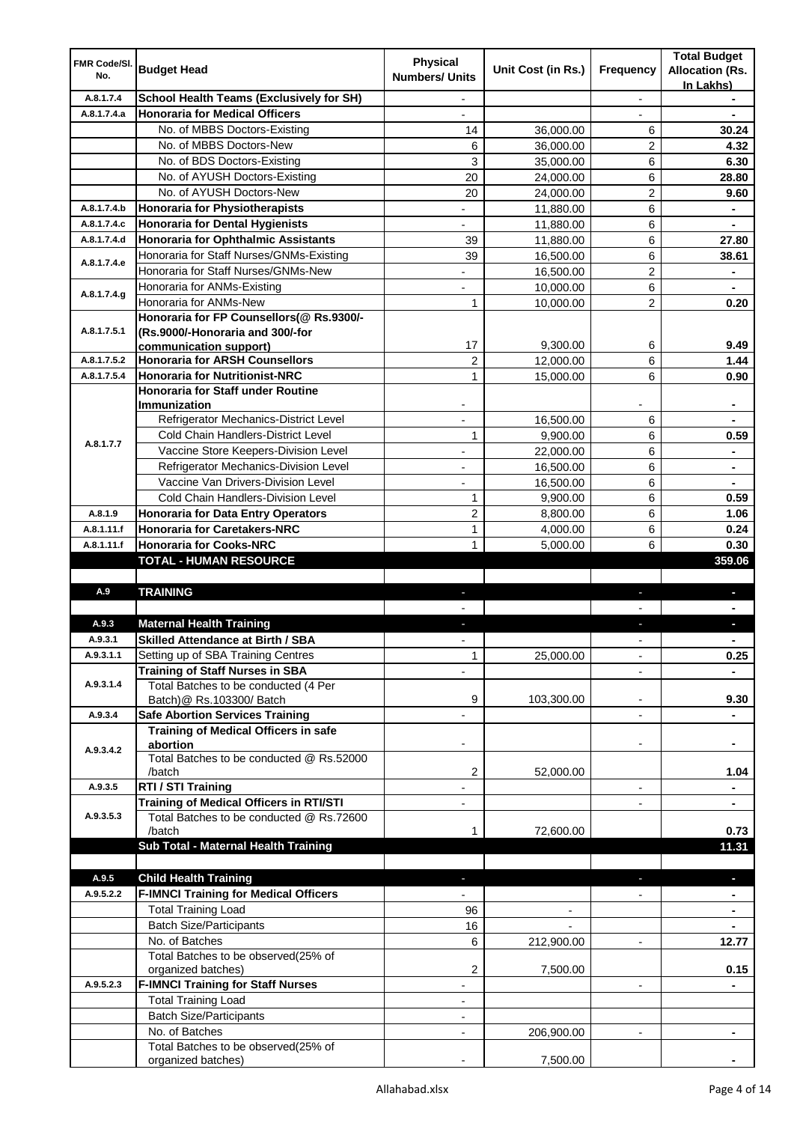| <b>FMR Code/SI.</b> |                                                              | <b>Physical</b>          |                        |                          | <b>Total Budget</b>    |
|---------------------|--------------------------------------------------------------|--------------------------|------------------------|--------------------------|------------------------|
| No.                 | <b>Budget Head</b>                                           | <b>Numbers/ Units</b>    | Unit Cost (in Rs.)     | Frequency                | <b>Allocation (Rs.</b> |
|                     |                                                              |                          |                        |                          | In Lakhs)              |
| A.8.1.7.4           | <b>School Health Teams (Exclusively for SH)</b>              |                          |                        |                          |                        |
| A.8.1.7.4.a         | <b>Honoraria for Medical Officers</b>                        |                          |                        |                          |                        |
|                     | No. of MBBS Doctors-Existing<br>No. of MBBS Doctors-New      | 14                       | 36,000.00              | 6                        | 30.24                  |
|                     |                                                              | 6                        | 36,000.00              | 2<br>6                   | 4.32                   |
|                     | No. of BDS Doctors-Existing<br>No. of AYUSH Doctors-Existing | 3<br>20                  | 35,000.00              | 6                        | 6.30<br>28.80          |
|                     | No. of AYUSH Doctors-New                                     | 20                       | 24,000.00<br>24,000.00 | 2                        | 9.60                   |
| A.8.1.7.4.b         | <b>Honoraria for Physiotherapists</b>                        | $\overline{a}$           | 11,880.00              | 6                        | ۰                      |
| A.8.1.7.4.c         | <b>Honoraria for Dental Hygienists</b>                       |                          | 11,880.00              | 6                        |                        |
| A.8.1.7.4.d         | <b>Honoraria for Ophthalmic Assistants</b>                   | 39                       | 11,880.00              | 6                        | 27.80                  |
|                     | Honoraria for Staff Nurses/GNMs-Existing                     | 39                       | 16,500.00              | 6                        | 38.61                  |
| A.8.1.7.4.e         | Honoraria for Staff Nurses/GNMs-New                          |                          | 16,500.00              | 2                        |                        |
|                     | Honoraria for ANMs-Existing                                  |                          | 10,000.00              | 6                        |                        |
| A.8.1.7.4.g         | Honoraria for ANMs-New                                       | 1                        | 10,000.00              | 2                        | 0.20                   |
|                     | Honoraria for FP Counsellors(@ Rs.9300/-                     |                          |                        |                          |                        |
| A.8.1.7.5.1         | (Rs.9000/-Honoraria and 300/-for                             |                          |                        |                          |                        |
|                     | communication support)                                       | 17                       | 9,300.00               | 6                        | 9.49                   |
| A.8.1.7.5.2         | <b>Honoraria for ARSH Counsellors</b>                        | $\overline{2}$           | 12,000.00              | 6                        | 1.44                   |
| A.8.1.7.5.4         | <b>Honoraria for Nutritionist-NRC</b>                        | 1                        | 15,000.00              | 6                        | 0.90                   |
|                     | Honoraria for Staff under Routine                            |                          |                        |                          |                        |
|                     | Immunization                                                 |                          |                        |                          |                        |
|                     | Refrigerator Mechanics-District Level                        |                          | 16,500.00              | 6                        |                        |
|                     | Cold Chain Handlers-District Level                           | $\mathbf{1}$             | 9,900.00               | 6                        | 0.59                   |
| A.8.1.7.7           | Vaccine Store Keepers-Division Level                         |                          | 22,000.00              | 6                        |                        |
|                     | Refrigerator Mechanics-Division Level                        | ٠                        | 16,500.00              | 6                        | ٠                      |
|                     | Vaccine Van Drivers-Division Level                           | $\overline{\phantom{0}}$ | 16,500.00              | 6                        | ۰                      |
|                     | Cold Chain Handlers-Division Level                           | 1                        | 9,900.00               | 6                        | 0.59                   |
| A.8.1.9             | <b>Honoraria for Data Entry Operators</b>                    | 2                        | 8,800.00               | 6                        | 1.06                   |
| A.8.1.11.f          | <b>Honoraria for Caretakers-NRC</b>                          | $\mathbf{1}$             | 4,000.00               | 6                        | 0.24                   |
| A.8.1.11.f          | <b>Honoraria for Cooks-NRC</b>                               | 1                        | 5,000.00               | 6                        | 0.30                   |
|                     | TOTAL - HUMAN RESOURCE                                       |                          |                        |                          | 359.06                 |
|                     |                                                              |                          |                        |                          |                        |
| A.9                 | <b>TRAINING</b>                                              | ٠                        |                        | ٠                        | L                      |
|                     |                                                              |                          |                        |                          |                        |
| A.9.3               | <b>Maternal Health Training</b>                              |                          |                        |                          |                        |
| A.9.3.1             | <b>Skilled Attendance at Birth / SBA</b>                     |                          |                        |                          |                        |
| A.9.3.1.1           | Setting up of SBA Training Centres                           | $\mathbf{1}$             | 25,000.00              |                          | 0.25                   |
|                     | <b>Training of Staff Nurses in SBA</b>                       |                          |                        |                          |                        |
| A.9.3.1.4           | Total Batches to be conducted (4 Per                         |                          |                        |                          |                        |
|                     | Batch)@ Rs.103300/ Batch                                     | 9                        | 103,300.00             |                          | 9.30                   |
| A.9.3.4             | <b>Safe Abortion Services Training</b>                       |                          |                        | $\overline{\phantom{a}}$ |                        |
|                     | Training of Medical Officers in safe                         |                          |                        |                          |                        |
| A.9.3.4.2           | abortion                                                     |                          |                        | $\overline{a}$           |                        |
|                     | Total Batches to be conducted @ Rs.52000                     |                          |                        |                          |                        |
| A.9.3.5             | /batch<br>RTI / STI Training                                 | 2                        | 52,000.00              | $\overline{\phantom{0}}$ | 1.04                   |
|                     | Training of Medical Officers in RTI/STI                      |                          |                        |                          |                        |
| A.9.3.5.3           | Total Batches to be conducted @ Rs.72600                     |                          |                        |                          |                        |
|                     | /batch                                                       | 1                        | 72,600.00              |                          | 0.73                   |
|                     | Sub Total - Maternal Health Training                         |                          |                        |                          | 11.31                  |
|                     |                                                              |                          |                        |                          |                        |
| A.9.5               | <b>Child Health Training</b>                                 |                          |                        |                          |                        |
| A.9.5.2.2           | <b>F-IMNCI Training for Medical Officers</b>                 |                          |                        |                          |                        |
|                     | <b>Total Training Load</b>                                   | 96                       |                        |                          |                        |
|                     | <b>Batch Size/Participants</b>                               | 16                       |                        |                          |                        |
|                     | No. of Batches                                               | 6                        | 212,900.00             | $\overline{\phantom{a}}$ | 12.77                  |
|                     | Total Batches to be observed(25% of                          |                          |                        |                          |                        |
|                     | organized batches)                                           | 2                        | 7,500.00               |                          | 0.15                   |
| A.9.5.2.3           | <b>F-IMNCI Training for Staff Nurses</b>                     | $\overline{a}$           |                        | $\overline{\phantom{a}}$ |                        |
|                     | <b>Total Training Load</b>                                   | $\overline{\phantom{a}}$ |                        |                          |                        |
|                     | <b>Batch Size/Participants</b>                               |                          |                        |                          |                        |
|                     | No. of Batches                                               | $\overline{\phantom{a}}$ | 206,900.00             | $\overline{\phantom{a}}$ | $\blacksquare$         |
|                     | Total Batches to be observed(25% of                          |                          |                        |                          |                        |
|                     | organized batches)                                           |                          | 7,500.00               |                          |                        |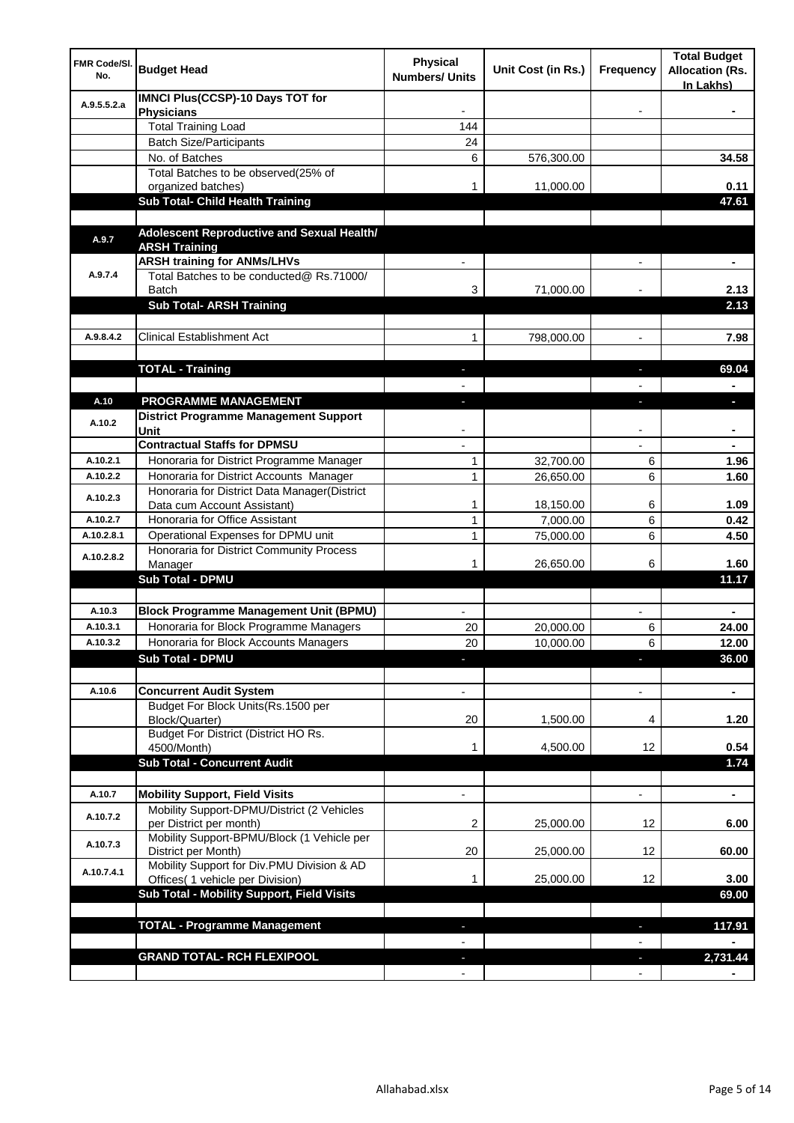| FMR Code/SI.<br>No. | <b>Budget Head</b>                                                             | Physical<br><b>Numbers/ Units</b> | Unit Cost (in Rs.) | Frequency      | <b>Total Budget</b><br><b>Allocation (Rs.</b><br>In Lakhs) |
|---------------------|--------------------------------------------------------------------------------|-----------------------------------|--------------------|----------------|------------------------------------------------------------|
| A.9.5.5.2.a         | <b>IMNCI Plus(CCSP)-10 Days TOT for</b><br><b>Physicians</b>                   |                                   |                    |                |                                                            |
|                     | <b>Total Training Load</b>                                                     | 144                               |                    |                |                                                            |
|                     | <b>Batch Size/Participants</b>                                                 | 24                                |                    |                |                                                            |
|                     | No. of Batches                                                                 | 6                                 | 576,300.00         |                | 34.58                                                      |
|                     | Total Batches to be observed(25% of                                            |                                   |                    |                |                                                            |
|                     | organized batches)                                                             | 1                                 | 11,000.00          |                | 0.11                                                       |
|                     | Sub Total- Child Health Training                                               |                                   |                    |                | 47.61                                                      |
|                     |                                                                                |                                   |                    |                |                                                            |
| A.9.7               | Adolescent Reproductive and Sexual Health/<br><b>ARSH Training</b>             |                                   |                    |                |                                                            |
|                     | <b>ARSH training for ANMs/LHVs</b>                                             |                                   |                    |                | ٠                                                          |
| A.9.7.4             | Total Batches to be conducted@ Rs.71000/                                       |                                   |                    |                |                                                            |
|                     | Batch                                                                          | 3                                 | 71,000.00          |                | 2.13                                                       |
|                     | <b>Sub Total- ARSH Training</b>                                                |                                   |                    |                | 2.13                                                       |
|                     |                                                                                |                                   |                    |                |                                                            |
| A.9.8.4.2           | <b>Clinical Establishment Act</b>                                              | 1                                 | 798,000.00         | $\blacksquare$ | 7.98                                                       |
|                     |                                                                                |                                   |                    |                |                                                            |
|                     | <b>TOTAL - Training</b>                                                        | $\blacksquare$                    |                    | ٠              | 69.04                                                      |
|                     |                                                                                |                                   |                    |                |                                                            |
| A.10                | PROGRAMME MANAGEMENT                                                           | $\blacksquare$                    |                    | J,             | $\overline{\phantom{a}}$                                   |
| A.10.2              | <b>District Programme Management Support</b><br>Unit                           |                                   |                    |                |                                                            |
|                     | <b>Contractual Staffs for DPMSU</b>                                            |                                   |                    |                |                                                            |
| A.10.2.1            | Honoraria for District Programme Manager                                       | 1                                 | 32,700.00          | 6              | 1.96                                                       |
| A.10.2.2            | Honoraria for District Accounts Manager                                        | $\mathbf{1}$                      | 26,650.00          | 6              | 1.60                                                       |
| A.10.2.3            | Honoraria for District Data Manager(District<br>Data cum Account Assistant)    | 1                                 | 18,150.00          | 6              | 1.09                                                       |
| A.10.2.7            | Honoraria for Office Assistant                                                 | 1                                 | 7,000.00           | 6              | 0.42                                                       |
| A.10.2.8.1          | Operational Expenses for DPMU unit                                             | 1                                 | 75,000.00          | 6              | 4.50                                                       |
|                     | Honoraria for District Community Process                                       |                                   |                    |                |                                                            |
| A.10.2.8.2          | Manager                                                                        | 1                                 | 26,650.00          | 6              | 1.60                                                       |
|                     | <b>Sub Total - DPMU</b>                                                        |                                   |                    |                | 11.17                                                      |
|                     |                                                                                |                                   |                    |                |                                                            |
| A.10.3              | <b>Block Programme Management Unit (BPMU)</b>                                  |                                   |                    |                |                                                            |
| A.10.3.1            | Honoraria for Block Programme Managers                                         | 20                                | 20,000.00          | 6              | 24.00                                                      |
| A.10.3.2            | Honoraria for Block Accounts Managers                                          | 20                                | 10,000.00          | 6              | 12.00                                                      |
|                     | <b>Sub Total - DPMU</b>                                                        |                                   |                    |                | 36.00                                                      |
|                     |                                                                                |                                   |                    |                |                                                            |
| A.10.6              | <b>Concurrent Audit System</b><br>Budget For Block Units(Rs.1500 per           |                                   |                    |                |                                                            |
|                     | Block/Quarter)                                                                 | 20                                | 1,500.00           | 4              | 1.20                                                       |
|                     | Budget For District (District HO Rs.                                           |                                   |                    |                |                                                            |
|                     | 4500/Month)                                                                    | 1                                 | 4,500.00           | 12             | 0.54                                                       |
|                     | <b>Sub Total - Concurrent Audit</b>                                            |                                   |                    |                | 1.74                                                       |
|                     |                                                                                |                                   |                    |                |                                                            |
| A.10.7              | <b>Mobility Support, Field Visits</b>                                          |                                   |                    | $\overline{a}$ | ٠                                                          |
| A.10.7.2            | Mobility Support-DPMU/District (2 Vehicles<br>per District per month)          | 2                                 | 25,000.00          | 12             | 6.00                                                       |
| A.10.7.3            | Mobility Support-BPMU/Block (1 Vehicle per<br>District per Month)              | 20                                | 25,000.00          | 12             | 60.00                                                      |
| A.10.7.4.1          | Mobility Support for Div.PMU Division & AD<br>Offices( 1 vehicle per Division) | 1                                 | 25,000.00          | 12             | 3.00                                                       |
|                     | Sub Total - Mobility Support, Field Visits                                     |                                   |                    |                | 69.00                                                      |
|                     | <b>TOTAL - Programme Management</b>                                            |                                   |                    |                |                                                            |
|                     |                                                                                |                                   |                    |                | 117.91                                                     |
|                     | <b>GRAND TOTAL- RCH FLEXIPOOL</b>                                              |                                   |                    |                | 2,731.44                                                   |
|                     |                                                                                |                                   |                    |                |                                                            |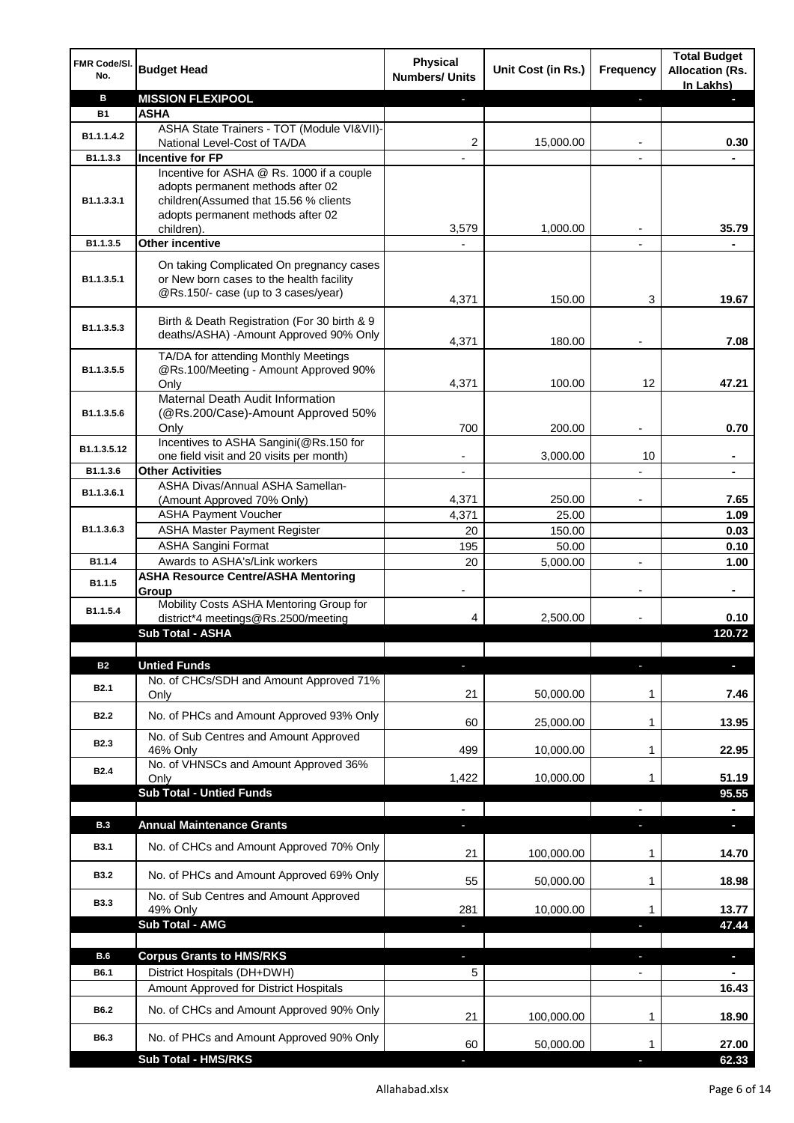| <b>FMR Code/SI.</b><br>No. | <b>Budget Head</b>                                                              | <b>Physical</b><br><b>Numbers/ Units</b> | Unit Cost (in Rs.) | Frequency                | <b>Total Budget</b><br><b>Allocation (Rs.</b><br>In Lakhs) |
|----------------------------|---------------------------------------------------------------------------------|------------------------------------------|--------------------|--------------------------|------------------------------------------------------------|
| в                          | <b>MISSION FLEXIPOOL</b>                                                        |                                          |                    | P.                       |                                                            |
| <b>B1</b>                  | ASHA                                                                            |                                          |                    |                          |                                                            |
| B1.1.1.4.2                 | ASHA State Trainers - TOT (Module VI&VII)-                                      |                                          |                    |                          |                                                            |
|                            | National Level-Cost of TA/DA                                                    | 2                                        | 15,000.00          |                          | 0.30                                                       |
| B1.1.3.3                   | <b>Incentive for FP</b>                                                         |                                          |                    |                          |                                                            |
|                            | Incentive for ASHA @ Rs. 1000 if a couple                                       |                                          |                    |                          |                                                            |
| B1.1.3.3.1                 | adopts permanent methods after 02<br>children(Assumed that 15.56 % clients      |                                          |                    |                          |                                                            |
|                            | adopts permanent methods after 02                                               |                                          |                    |                          |                                                            |
|                            | children).                                                                      | 3,579                                    | 1,000.00           |                          | 35.79                                                      |
| B1.1.3.5                   | Other incentive                                                                 |                                          |                    |                          |                                                            |
|                            | On taking Complicated On pregnancy cases                                        |                                          |                    |                          |                                                            |
| B1.1.3.5.1                 | or New born cases to the health facility<br>@Rs.150/- case (up to 3 cases/year) | 4,371                                    | 150.00             | 3                        | 19.67                                                      |
|                            | Birth & Death Registration (For 30 birth & 9                                    |                                          |                    |                          |                                                            |
| B1.1.3.5.3                 | deaths/ASHA) - Amount Approved 90% Only                                         |                                          |                    |                          |                                                            |
|                            |                                                                                 | 4,371                                    | 180.00             |                          | 7.08                                                       |
| B1.1.3.5.5                 | TA/DA for attending Monthly Meetings<br>@Rs.100/Meeting - Amount Approved 90%   |                                          |                    |                          |                                                            |
|                            | Only                                                                            | 4,371                                    | 100.00             | 12                       | 47.21                                                      |
|                            | Maternal Death Audit Information                                                |                                          |                    |                          |                                                            |
| B1.1.3.5.6                 | (@Rs.200/Case)-Amount Approved 50%                                              |                                          |                    |                          |                                                            |
|                            | Only                                                                            | 700                                      | 200.00             | $\blacksquare$           | 0.70                                                       |
| B1.1.3.5.12                | Incentives to ASHA Sangini(@Rs.150 for                                          |                                          |                    |                          |                                                            |
|                            | one field visit and 20 visits per month)                                        |                                          | 3,000.00           | 10                       |                                                            |
| B1.1.3.6                   | <b>Other Activities</b>                                                         |                                          |                    |                          | ۰                                                          |
| B1.1.3.6.1                 | ASHA Divas/Annual ASHA Samellan-                                                |                                          |                    |                          |                                                            |
|                            | (Amount Approved 70% Only)                                                      | 4,371                                    | 250.00             |                          | 7.65                                                       |
| B1.1.3.6.3                 | <b>ASHA Payment Voucher</b>                                                     | 4,371                                    | 25.00              |                          | 1.09                                                       |
|                            | <b>ASHA Master Payment Register</b>                                             | 20                                       | 150.00             |                          | 0.03                                                       |
| B1.1.4                     | <b>ASHA Sangini Format</b><br>Awards to ASHA's/Link workers                     | 195<br>20                                | 50.00<br>5,000.00  | $\overline{\phantom{a}}$ | 0.10                                                       |
|                            | <b>ASHA Resource Centre/ASHA Mentoring</b>                                      |                                          |                    |                          | 1.00                                                       |
| B1.1.5                     | Group                                                                           |                                          |                    |                          |                                                            |
| B1.1.5.4                   | Mobility Costs ASHA Mentoring Group for                                         |                                          |                    |                          |                                                            |
|                            | district*4 meetings@Rs.2500/meeting                                             | 4                                        | 2,500.00           |                          | 0.10                                                       |
|                            | <b>Sub Total - ASHA</b>                                                         |                                          |                    |                          | 120.72                                                     |
|                            |                                                                                 |                                          |                    |                          |                                                            |
| <b>B2</b>                  | <b>Untied Funds</b>                                                             | ı                                        |                    | r                        | ٠                                                          |
| <b>B2.1</b>                | No. of CHCs/SDH and Amount Approved 71%                                         |                                          |                    |                          |                                                            |
|                            | Only                                                                            | 21                                       | 50,000.00          | 1                        | 7.46                                                       |
| <b>B2.2</b>                | No. of PHCs and Amount Approved 93% Only                                        | 60                                       | 25,000.00          | 1                        | 13.95                                                      |
|                            | No. of Sub Centres and Amount Approved                                          |                                          |                    |                          |                                                            |
| <b>B2.3</b>                | 46% Only                                                                        | 499                                      | 10,000.00          | 1                        | 22.95                                                      |
| B <sub>2.4</sub>           | No. of VHNSCs and Amount Approved 36%                                           |                                          |                    |                          |                                                            |
|                            | Only                                                                            | 1,422                                    | 10,000.00          | 1                        | 51.19                                                      |
|                            | <b>Sub Total - Untied Funds</b>                                                 |                                          |                    |                          | 95.55                                                      |
|                            |                                                                                 |                                          |                    |                          |                                                            |
| B.3                        | <b>Annual Maintenance Grants</b>                                                |                                          |                    |                          | ٠                                                          |
| <b>B3.1</b>                | No. of CHCs and Amount Approved 70% Only                                        | 21                                       | 100,000.00         | 1                        | 14.70                                                      |
| <b>B3.2</b>                | No. of PHCs and Amount Approved 69% Only                                        | 55                                       | 50,000.00          | 1                        | 18.98                                                      |
| <b>B3.3</b>                | No. of Sub Centres and Amount Approved                                          |                                          |                    |                          |                                                            |
|                            | 49% Only                                                                        | 281                                      | 10,000.00          | 1                        | 13.77                                                      |
|                            | Sub Total - AMG                                                                 |                                          |                    |                          | 47.44                                                      |
|                            |                                                                                 |                                          |                    |                          |                                                            |
| B.6                        | <b>Corpus Grants to HMS/RKS</b>                                                 | ٠                                        |                    | J                        | ٠                                                          |
| B6.1                       | District Hospitals (DH+DWH)                                                     | 5                                        |                    |                          |                                                            |
|                            | Amount Approved for District Hospitals                                          |                                          |                    |                          | 16.43                                                      |
| <b>B6.2</b>                | No. of CHCs and Amount Approved 90% Only                                        |                                          |                    |                          |                                                            |
|                            |                                                                                 | 21                                       | 100,000.00         | 1                        | 18.90                                                      |
| B6.3                       | No. of PHCs and Amount Approved 90% Only                                        | 60                                       | 50,000.00          | 1                        | 27.00                                                      |
|                            | <b>Sub Total - HMS/RKS</b>                                                      |                                          |                    |                          | 62.33                                                      |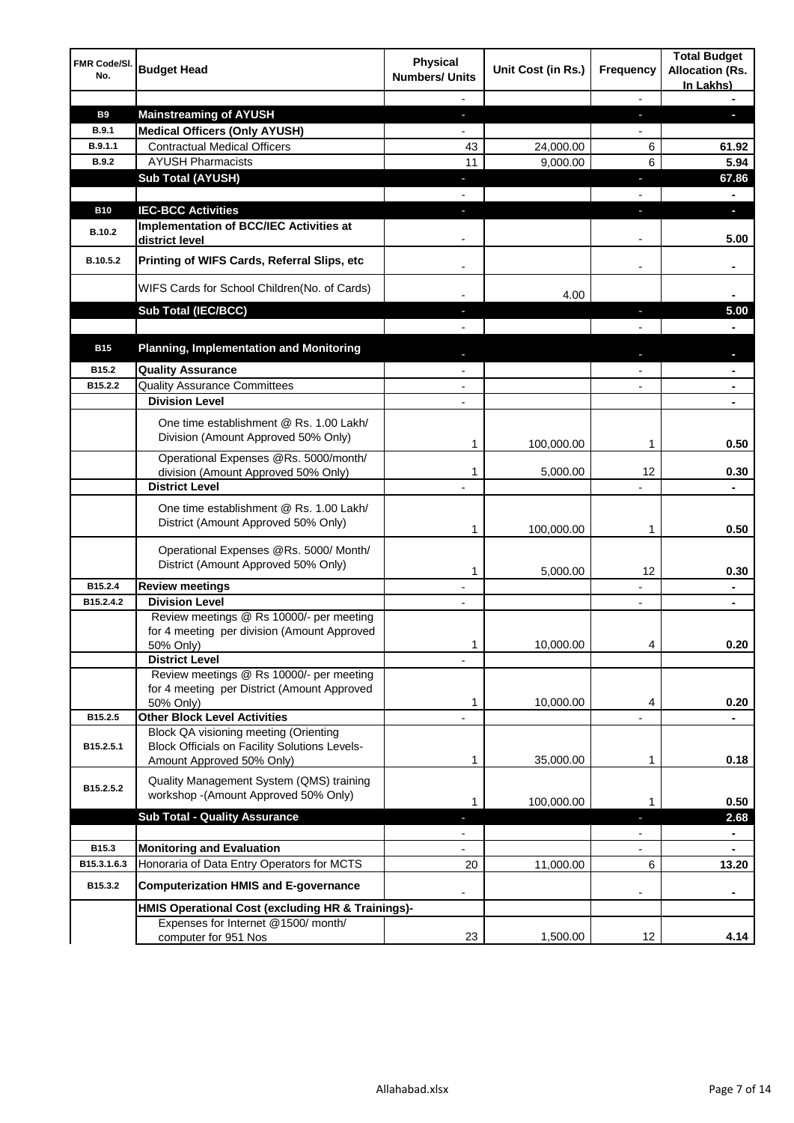| FMR Code/SI.<br>No. | <b>Budget Head</b>                                                                                                         | Physical<br><b>Numbers/ Units</b> | Unit Cost (in Rs.) | <b>Frequency</b>         | <b>Total Budget</b><br><b>Allocation (Rs.</b><br>In Lakhs) |
|---------------------|----------------------------------------------------------------------------------------------------------------------------|-----------------------------------|--------------------|--------------------------|------------------------------------------------------------|
|                     |                                                                                                                            |                                   |                    | $\overline{\phantom{a}}$ |                                                            |
| B9                  | <b>Mainstreaming of AYUSH</b>                                                                                              |                                   |                    | J,                       |                                                            |
| <b>B.9.1</b>        | <b>Medical Officers (Only AYUSH)</b>                                                                                       |                                   |                    |                          |                                                            |
| B.9.1.1             | <b>Contractual Medical Officers</b>                                                                                        | 43                                | 24,000.00          | 6                        | 61.92                                                      |
| <b>B.9.2</b>        | <b>AYUSH Pharmacists</b>                                                                                                   | 11                                | 9,000.00           | 6                        | 5.94                                                       |
|                     | <b>Sub Total (AYUSH)</b>                                                                                                   | ٠                                 |                    | J,                       | 67.86                                                      |
|                     |                                                                                                                            |                                   |                    |                          | $\blacksquare$                                             |
| <b>B10</b>          | <b>IEC-BCC Activities</b>                                                                                                  |                                   |                    |                          | ٠                                                          |
| B.10.2              | Implementation of BCC/IEC Activities at<br>district level                                                                  |                                   |                    |                          | 5.00                                                       |
| B.10.5.2            | Printing of WIFS Cards, Referral Slips, etc                                                                                |                                   |                    | $\overline{\phantom{a}}$ | ۰                                                          |
|                     | WIFS Cards for School Children(No. of Cards)                                                                               |                                   | 4.00               |                          |                                                            |
|                     | <b>Sub Total (IEC/BCC)</b>                                                                                                 |                                   |                    |                          | 5.00                                                       |
|                     |                                                                                                                            |                                   |                    |                          |                                                            |
| <b>B15</b>          | <b>Planning, Implementation and Monitoring</b>                                                                             |                                   |                    |                          | L                                                          |
| B15.2               | <b>Quality Assurance</b>                                                                                                   | $\overline{a}$                    |                    | $\blacksquare$           | $\blacksquare$                                             |
| B15.2.2             | <b>Quality Assurance Committees</b>                                                                                        | $\blacksquare$                    |                    | $\blacksquare$           | ۰                                                          |
|                     | <b>Division Level</b>                                                                                                      | $\blacksquare$                    |                    |                          | $\blacksquare$                                             |
|                     | One time establishment @ Rs. 1.00 Lakh/<br>Division (Amount Approved 50% Only)                                             | 1                                 | 100,000.00         | 1                        | 0.50                                                       |
|                     | Operational Expenses @Rs. 5000/month/                                                                                      |                                   |                    |                          |                                                            |
|                     | division (Amount Approved 50% Only)                                                                                        | 1                                 | 5,000.00           | 12                       | 0.30                                                       |
|                     | <b>District Level</b>                                                                                                      |                                   |                    |                          |                                                            |
|                     | One time establishment @ Rs. 1.00 Lakh/<br>District (Amount Approved 50% Only)                                             | 1                                 | 100,000.00         | 1                        | 0.50                                                       |
|                     | Operational Expenses @Rs. 5000/ Month/<br>District (Amount Approved 50% Only)                                              | 1                                 | 5,000.00           | 12                       | 0.30                                                       |
| B15.2.4             | <b>Review meetings</b>                                                                                                     |                                   |                    |                          | ۰                                                          |
| B15.2.4.2           | <b>Division Level</b>                                                                                                      | $\mathbf{r}$                      |                    | $\blacksquare$           | ÷.                                                         |
|                     | Review meetings @ Rs 10000/- per meeting<br>for 4 meeting per division (Amount Approved<br>50% Only)                       | 1                                 | 10,000.00          |                          | 0.20                                                       |
|                     | <b>District Level</b>                                                                                                      |                                   |                    |                          |                                                            |
|                     | Review meetings @ Rs 10000/- per meeting<br>for 4 meeting per District (Amount Approved<br>50% Only)                       | 1                                 | 10,000.00          | 4                        | 0.20                                                       |
| B15.2.5             | <b>Other Block Level Activities</b>                                                                                        |                                   |                    |                          |                                                            |
| B15.2.5.1           | Block QA visioning meeting (Orienting<br><b>Block Officials on Facility Solutions Levels-</b><br>Amount Approved 50% Only) | 1                                 | 35,000.00          | 1                        | 0.18                                                       |
| B15.2.5.2           | Quality Management System (QMS) training<br>workshop - (Amount Approved 50% Only)                                          | 1                                 | 100,000.00         | 1                        | 0.50                                                       |
|                     | <b>Sub Total - Quality Assurance</b>                                                                                       | J,                                |                    | ×,                       | 2.68                                                       |
|                     |                                                                                                                            | $\overline{\phantom{a}}$          |                    | ٠                        | $\blacksquare$                                             |
| B15.3               | <b>Monitoring and Evaluation</b>                                                                                           |                                   |                    |                          | $\blacksquare$                                             |
| B15.3.1.6.3         | Honoraria of Data Entry Operators for MCTS                                                                                 | 20                                | 11,000.00          | 6                        | 13.20                                                      |
| B15.3.2             | <b>Computerization HMIS and E-governance</b>                                                                               |                                   |                    |                          |                                                            |
|                     | HMIS Operational Cost (excluding HR & Trainings)-                                                                          |                                   |                    |                          |                                                            |
|                     | Expenses for Internet @1500/month/                                                                                         |                                   |                    |                          |                                                            |
|                     | computer for 951 Nos                                                                                                       | 23                                | 1,500.00           | 12                       | 4.14                                                       |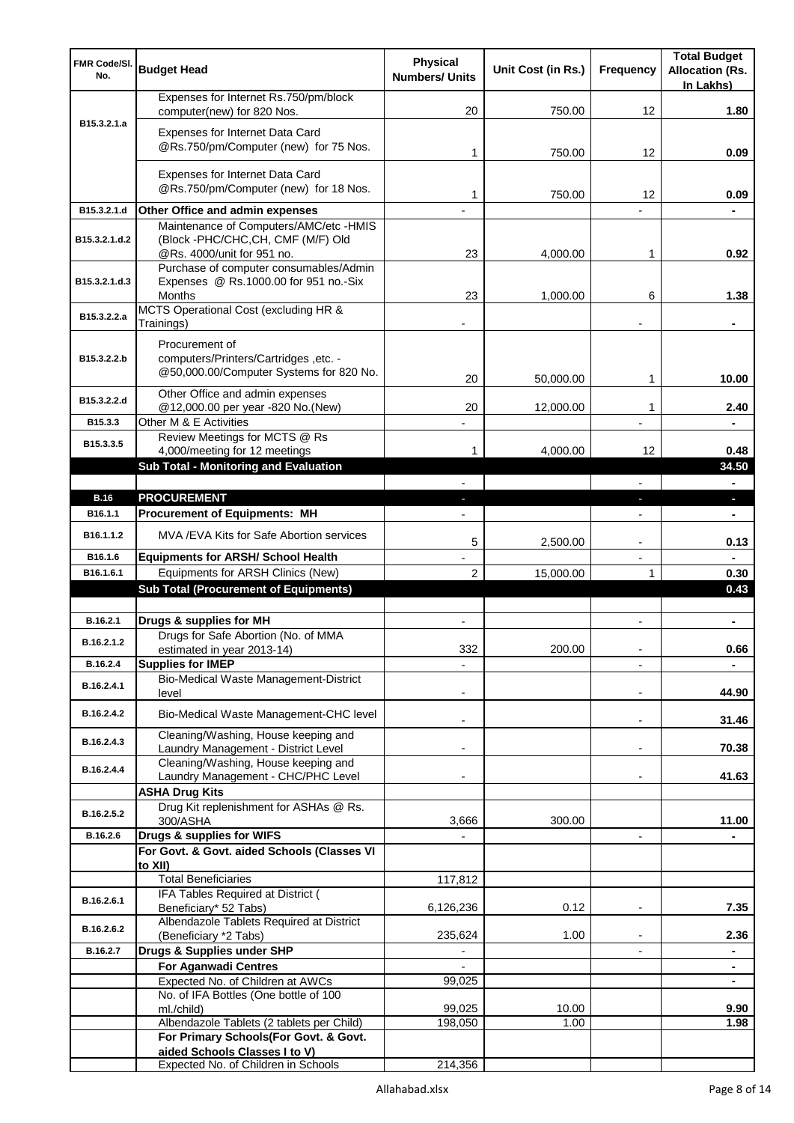| <b>FMR Code/SI.</b><br>No. | <b>Budget Head</b>                                                                                         | Physical<br><b>Numbers/ Units</b> | Unit Cost (in Rs.) | Frequency                      | <b>Total Budget</b><br><b>Allocation (Rs.</b><br>In Lakhs) |
|----------------------------|------------------------------------------------------------------------------------------------------------|-----------------------------------|--------------------|--------------------------------|------------------------------------------------------------|
|                            | Expenses for Internet Rs.750/pm/block<br>computer(new) for 820 Nos.                                        | 20                                | 750.00             | 12                             | 1.80                                                       |
| B15.3.2.1.a                | Expenses for Internet Data Card<br>@Rs.750/pm/Computer (new) for 75 Nos.                                   | 1                                 | 750.00             | 12                             | 0.09                                                       |
|                            | Expenses for Internet Data Card<br>@Rs.750/pm/Computer (new) for 18 Nos.                                   | 1                                 | 750.00             | 12                             | 0.09                                                       |
| B15.3.2.1.d                | Other Office and admin expenses                                                                            |                                   |                    |                                |                                                            |
| B15.3.2.1.d.2              | Maintenance of Computers/AMC/etc -HMIS<br>(Block -PHC/CHC, CH, CMF (M/F) Old<br>@Rs. 4000/unit for 951 no. | 23                                | 4,000.00           | 1                              | 0.92                                                       |
| B15.3.2.1.d.3              | Purchase of computer consumables/Admin<br>Expenses @ Rs.1000.00 for 951 no.-Six<br>Months                  | 23                                | 1,000.00           | 6                              | 1.38                                                       |
| B15.3.2.2.a                | MCTS Operational Cost (excluding HR &<br>Trainings)                                                        |                                   |                    |                                |                                                            |
| B15.3.2.2.b                | Procurement of<br>computers/Printers/Cartridges, etc. -<br>@50,000.00/Computer Systems for 820 No.         | 20                                | 50,000.00          | 1                              | 10.00                                                      |
| B15.3.2.2.d                | Other Office and admin expenses<br>@12,000.00 per year -820 No.(New)                                       | 20                                | 12,000.00          | 1                              | 2.40                                                       |
| B15.3.3                    | Other M & E Activities                                                                                     |                                   |                    |                                |                                                            |
| B15.3.3.5                  | Review Meetings for MCTS @ Rs<br>4,000/meeting for 12 meetings                                             | 1                                 | 4,000.00           | 12                             | 0.48                                                       |
|                            | <b>Sub Total - Monitoring and Evaluation</b>                                                               |                                   |                    |                                | 34.50                                                      |
| <b>B.16</b>                | <b>PROCUREMENT</b>                                                                                         | ÷.                                |                    |                                | $\blacksquare$                                             |
| B16.1.1                    | <b>Procurement of Equipments: MH</b>                                                                       | $\blacksquare$                    |                    | J,<br>$\overline{\phantom{a}}$ | o,<br>$\blacksquare$                                       |
| B <sub>16.1</sub> .1.2     | MVA /EVA Kits for Safe Abortion services                                                                   | 5                                 | 2,500.00           | $\blacksquare$                 | 0.13                                                       |
| B16.1.6                    | <b>Equipments for ARSH/ School Health</b>                                                                  |                                   |                    | $\overline{\phantom{a}}$       | ۰                                                          |
| B16.1.6.1                  | Equipments for ARSH Clinics (New)                                                                          | 2                                 | 15,000.00          | 1                              | 0.30                                                       |
|                            | <b>Sub Total (Procurement of Equipments)</b>                                                               |                                   |                    |                                | 0.43                                                       |
| B.16.2.1                   | Drugs & supplies for MH                                                                                    |                                   |                    |                                |                                                            |
| B.16.2.1.2                 | Drugs for Safe Abortion (No. of MMA<br>estimated in year 2013-14)                                          | 332                               | 200.00             | $\qquad \qquad \blacksquare$   | 0.66                                                       |
| B.16.2.4                   | <b>Supplies for IMEP</b>                                                                                   |                                   |                    |                                |                                                            |
| B.16.2.4.1                 | Bio-Medical Waste Management-District<br>level                                                             |                                   |                    | $\blacksquare$                 | 44.90                                                      |
| B.16.2.4.2                 | Bio-Medical Waste Management-CHC level                                                                     | $\blacksquare$                    |                    | $\blacksquare$                 | 31.46                                                      |
| B.16.2.4.3                 | Cleaning/Washing, House keeping and<br>Laundry Management - District Level                                 |                                   |                    |                                | 70.38                                                      |
| B.16.2.4.4                 | Cleaning/Washing, House keeping and<br>Laundry Management - CHC/PHC Level                                  |                                   |                    |                                | 41.63                                                      |
|                            | <b>ASHA Drug Kits</b>                                                                                      |                                   |                    |                                |                                                            |
| B.16.2.5.2                 | Drug Kit replenishment for ASHAs @ Rs.<br>300/ASHA                                                         | 3,666                             | 300.00             |                                | 11.00                                                      |
| B.16.2.6                   | Drugs & supplies for WIFS                                                                                  |                                   |                    |                                |                                                            |
|                            | For Govt. & Govt. aided Schools (Classes VI                                                                |                                   |                    |                                |                                                            |
|                            | to XII)<br><b>Total Beneficiaries</b>                                                                      | 117,812                           |                    |                                |                                                            |
|                            | IFA Tables Required at District (                                                                          |                                   |                    |                                |                                                            |
| B.16.2.6.1                 | Beneficiary* 52 Tabs)                                                                                      | 6,126,236                         | 0.12               |                                | 7.35                                                       |
| B.16.2.6.2                 | Albendazole Tablets Required at District<br>(Beneficiary *2 Tabs)                                          | 235,624                           | 1.00               |                                | 2.36                                                       |
| B.16.2.7                   | Drugs & Supplies under SHP                                                                                 |                                   |                    |                                | ä,                                                         |
|                            | <b>For Aganwadi Centres</b>                                                                                |                                   |                    |                                | ۰                                                          |
|                            | Expected No. of Children at AWCs                                                                           | 99,025                            |                    |                                |                                                            |
|                            | No. of IFA Bottles (One bottle of 100<br>ml./child)                                                        | 99,025                            | 10.00              |                                | 9.90                                                       |
|                            | Albendazole Tablets (2 tablets per Child)                                                                  | 198,050                           | 1.00               |                                | 1.98                                                       |
|                            | For Primary Schools(For Govt. & Govt.<br>aided Schools Classes I to V)                                     |                                   |                    |                                |                                                            |
|                            | Expected No. of Children in Schools                                                                        | 214,356                           |                    |                                |                                                            |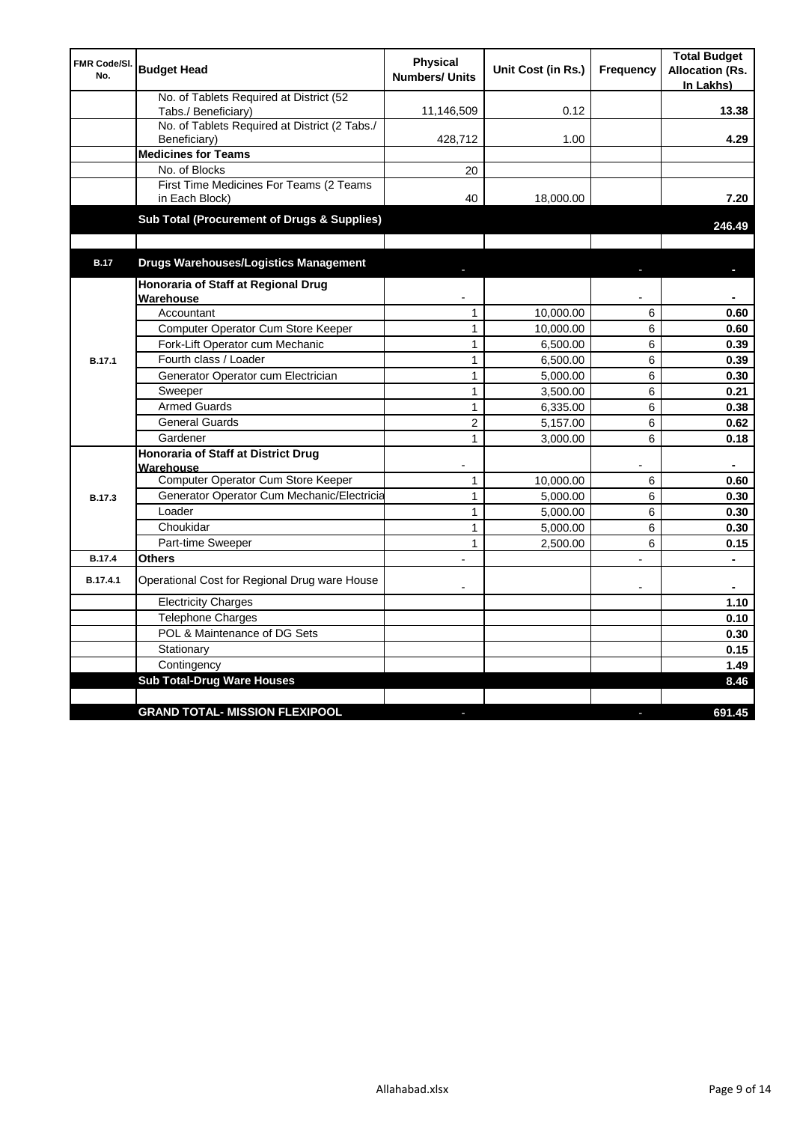| FMR Code/SI.<br>No. | <b>Budget Head</b>                                             | <b>Physical</b><br><b>Numbers/ Units</b> | Unit Cost (in Rs.) | <b>Frequency</b> | <b>Total Budget</b><br><b>Allocation (Rs.</b><br>In Lakhs) |
|---------------------|----------------------------------------------------------------|------------------------------------------|--------------------|------------------|------------------------------------------------------------|
|                     | No. of Tablets Required at District (52<br>Tabs./ Beneficiary) | 11,146,509                               | 0.12               |                  | 13.38                                                      |
|                     | No. of Tablets Required at District (2 Tabs./<br>Beneficiary)  | 428,712                                  | 1.00               |                  | 4.29                                                       |
|                     | <b>Medicines for Teams</b>                                     |                                          |                    |                  |                                                            |
|                     | No. of Blocks                                                  | 20                                       |                    |                  |                                                            |
|                     | First Time Medicines For Teams (2 Teams<br>in Each Block)      | 40                                       | 18,000.00          |                  | 7.20                                                       |
|                     | Sub Total (Procurement of Drugs & Supplies)                    |                                          |                    |                  | 246.49                                                     |
| <b>B.17</b>         | <b>Drugs Warehouses/Logistics Management</b>                   |                                          |                    |                  |                                                            |
|                     |                                                                |                                          |                    |                  |                                                            |
|                     | Honoraria of Staff at Regional Drug<br>Warehouse               |                                          |                    |                  |                                                            |
|                     | Accountant                                                     | $\mathbf{1}$                             | 10,000.00          | 6                | 0.60                                                       |
|                     | Computer Operator Cum Store Keeper                             | 1                                        | 10,000.00          | 6                | 0.60                                                       |
|                     | Fork-Lift Operator cum Mechanic                                | $\mathbf{1}$                             | 6,500.00           | 6                | 0.39                                                       |
| <b>B.17.1</b>       | Fourth class / Loader                                          | $\mathbf{1}$                             | 6,500.00           | 6                | 0.39                                                       |
|                     | Generator Operator cum Electrician                             | 1                                        | 5,000.00           | 6                | 0.30                                                       |
|                     | Sweeper                                                        | $\mathbf{1}$                             | 3,500.00           | 6                | 0.21                                                       |
|                     | <b>Armed Guards</b>                                            | 1                                        | 6,335.00           | 6                | 0.38                                                       |
|                     | <b>General Guards</b>                                          | $\overline{2}$                           | 5,157.00           | 6                | 0.62                                                       |
|                     | Gardener                                                       | $\mathbf{1}$                             | 3,000.00           | 6                | 0.18                                                       |
|                     | <b>Honoraria of Staff at District Drug</b><br>Warehouse        |                                          |                    |                  |                                                            |
|                     | Computer Operator Cum Store Keeper                             | $\mathbf{1}$                             | 10,000.00          | 6                | 0.60                                                       |
| <b>B.17.3</b>       | Generator Operator Cum Mechanic/Electricia                     | $\mathbf{1}$                             | 5,000.00           | 6                | 0.30                                                       |
|                     | Loader                                                         | $\mathbf{1}$                             | 5,000.00           | 6                | 0.30                                                       |
|                     | Choukidar                                                      | 1                                        | 5,000.00           | 6                | 0.30                                                       |
|                     | Part-time Sweeper                                              | $\mathbf{1}$                             | 2,500.00           | 6                | 0.15                                                       |
| <b>B.17.4</b>       | <b>Others</b>                                                  |                                          |                    | $\overline{a}$   |                                                            |
| B.17.4.1            | Operational Cost for Regional Drug ware House                  |                                          |                    |                  |                                                            |
|                     | <b>Electricity Charges</b>                                     |                                          |                    |                  | 1.10                                                       |
|                     | Telephone Charges                                              |                                          |                    |                  | 0.10                                                       |
|                     | POL & Maintenance of DG Sets                                   |                                          |                    |                  | 0.30                                                       |
|                     | Stationary                                                     |                                          |                    |                  | 0.15                                                       |
|                     | Contingency                                                    |                                          |                    |                  | 1.49                                                       |
|                     | <b>Sub Total-Drug Ware Houses</b>                              |                                          |                    |                  | 8.46                                                       |
|                     |                                                                |                                          |                    |                  |                                                            |
|                     | <b>GRAND TOTAL- MISSION FLEXIPOOL</b>                          |                                          |                    |                  | 691.45                                                     |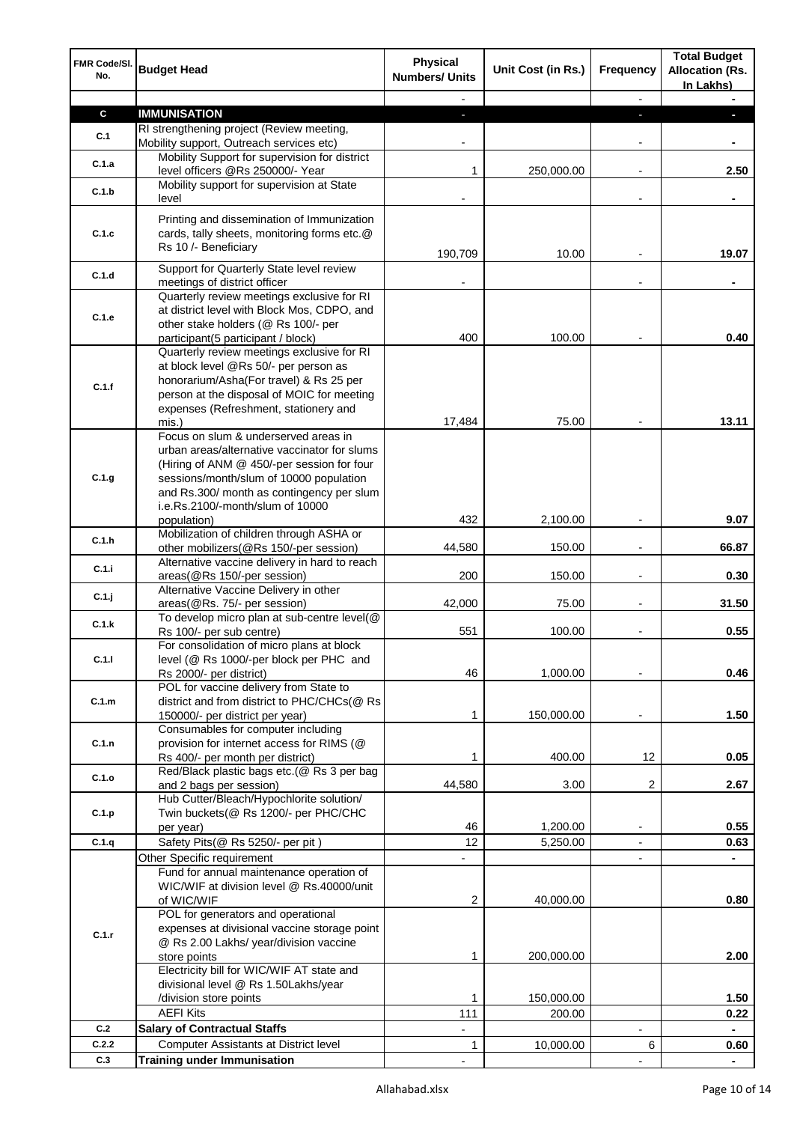| FMR Code/SI.<br>No. | <b>Budget Head</b>                                                                                                | <b>Physical</b><br><b>Numbers/ Units</b> | Unit Cost (in Rs.)   | Frequency                | <b>Total Budget</b><br><b>Allocation (Rs.</b><br>In Lakhs) |
|---------------------|-------------------------------------------------------------------------------------------------------------------|------------------------------------------|----------------------|--------------------------|------------------------------------------------------------|
|                     |                                                                                                                   |                                          |                      |                          |                                                            |
| $\mathbf c$         | <b>IMMUNISATION</b>                                                                                               |                                          |                      |                          |                                                            |
| C.1                 | RI strengthening project (Review meeting,<br>Mobility support, Outreach services etc)                             |                                          |                      |                          |                                                            |
| C.1.a               | Mobility Support for supervision for district<br>level officers @Rs 250000/- Year                                 | 1                                        | 250,000.00           |                          | 2.50                                                       |
| C.1.b               | Mobility support for supervision at State<br>level                                                                |                                          |                      |                          |                                                            |
|                     |                                                                                                                   |                                          |                      |                          |                                                            |
| C.1.c               | Printing and dissemination of Immunization<br>cards, tally sheets, monitoring forms etc.@<br>Rs 10 /- Beneficiary | 190,709                                  | 10.00                |                          | 19.07                                                      |
| C.1.d               | Support for Quarterly State level review                                                                          |                                          |                      |                          |                                                            |
|                     | meetings of district officer<br>Quarterly review meetings exclusive for RI                                        |                                          |                      |                          |                                                            |
|                     | at district level with Block Mos, CDPO, and                                                                       |                                          |                      |                          |                                                            |
| C.1.e               | other stake holders (@ Rs 100/- per                                                                               |                                          |                      |                          |                                                            |
|                     | participant(5 participant / block)                                                                                | 400                                      | 100.00               |                          | 0.40                                                       |
|                     | Quarterly review meetings exclusive for RI                                                                        |                                          |                      |                          |                                                            |
|                     | at block level @Rs 50/- per person as                                                                             |                                          |                      |                          |                                                            |
| C.1.f               | honorarium/Asha(For travel) & Rs 25 per                                                                           |                                          |                      |                          |                                                            |
|                     | person at the disposal of MOIC for meeting                                                                        |                                          |                      |                          |                                                            |
|                     | expenses (Refreshment, stationery and                                                                             |                                          |                      |                          |                                                            |
|                     | mis.)                                                                                                             | 17,484                                   | 75.00                |                          | 13.11                                                      |
|                     | Focus on slum & underserved areas in<br>urban areas/alternative vaccinator for slums                              |                                          |                      |                          |                                                            |
|                     | (Hiring of ANM @ 450/-per session for four                                                                        |                                          |                      |                          |                                                            |
| C.1.g               | sessions/month/slum of 10000 population                                                                           |                                          |                      |                          |                                                            |
|                     | and Rs.300/ month as contingency per slum                                                                         |                                          |                      |                          |                                                            |
|                     | i.e.Rs.2100/-month/slum of 10000                                                                                  |                                          |                      |                          |                                                            |
|                     | population)                                                                                                       | 432                                      | 2,100.00             |                          | 9.07                                                       |
| C.1.h               | Mobilization of children through ASHA or                                                                          |                                          |                      |                          |                                                            |
|                     | other mobilizers(@Rs 150/-per session)                                                                            | 44,580                                   | 150.00               | $\blacksquare$           | 66.87                                                      |
| C.1.i               | Alternative vaccine delivery in hard to reach                                                                     |                                          |                      |                          |                                                            |
|                     | areas(@Rs 150/-per session)<br>Alternative Vaccine Delivery in other                                              | 200                                      | 150.00               | $\overline{a}$           | 0.30                                                       |
| C.1.j               | areas(@Rs. 75/- per session)                                                                                      | 42,000                                   | 75.00                | $\overline{a}$           | 31.50                                                      |
|                     | To develop micro plan at sub-centre level(@                                                                       |                                          |                      |                          |                                                            |
| C.1.k               | Rs 100/- per sub centre)                                                                                          | 551                                      | 100.00               |                          | 0.55                                                       |
|                     | For consolidation of micro plans at block                                                                         |                                          |                      |                          |                                                            |
| C.1.1               | level (@ Rs 1000/-per block per PHC and                                                                           |                                          |                      |                          |                                                            |
|                     | Rs 2000/- per district)                                                                                           | 46                                       | 1,000.00             |                          | 0.46                                                       |
|                     | POL for vaccine delivery from State to                                                                            |                                          |                      |                          |                                                            |
| C.1.m               | district and from district to PHC/CHCs(@ Rs<br>150000/- per district per year)                                    | 1                                        | 150,000.00           |                          | 1.50                                                       |
|                     | Consumables for computer including                                                                                |                                          |                      |                          |                                                            |
| C.1.n               | provision for internet access for RIMS (@                                                                         |                                          |                      |                          |                                                            |
|                     | Rs 400/- per month per district)                                                                                  | 1                                        | 400.00               | 12                       | 0.05                                                       |
| C.1.o               | Red/Black plastic bags etc.(@ Rs 3 per bag                                                                        |                                          |                      |                          |                                                            |
|                     | and 2 bags per session)                                                                                           | 44,580                                   | 3.00                 | 2                        | 2.67                                                       |
|                     | Hub Cutter/Bleach/Hypochlorite solution/                                                                          |                                          |                      |                          |                                                            |
| C.1.p               | Twin buckets(@ Rs 1200/- per PHC/CHC                                                                              |                                          |                      |                          |                                                            |
|                     | per year)                                                                                                         | 46<br>12                                 | 1,200.00             | $\overline{\phantom{a}}$ | 0.55                                                       |
| C.1.q               | Safety Pits(@ Rs 5250/- per pit)                                                                                  |                                          | 5,250.00             |                          | 0.63                                                       |
|                     | Other Specific requirement<br>Fund for annual maintenance operation of                                            |                                          |                      | ٠                        |                                                            |
|                     | WIC/WIF at division level @ Rs.40000/unit                                                                         |                                          |                      |                          |                                                            |
|                     | of WIC/WIF                                                                                                        | 2                                        | 40,000.00            |                          | 0.80                                                       |
|                     | POL for generators and operational                                                                                |                                          |                      |                          |                                                            |
| C.1.r               | expenses at divisional vaccine storage point                                                                      |                                          |                      |                          |                                                            |
|                     | @ Rs 2.00 Lakhs/ year/division vaccine                                                                            |                                          |                      |                          |                                                            |
|                     | store points                                                                                                      | 1                                        | 200,000.00           |                          | 2.00                                                       |
|                     | Electricity bill for WIC/WIF AT state and                                                                         |                                          |                      |                          |                                                            |
|                     | divisional level @ Rs 1.50Lakhs/year                                                                              |                                          |                      |                          |                                                            |
|                     | /division store points<br><b>AEFI Kits</b>                                                                        | 1<br>111                                 | 150,000.00<br>200.00 |                          | 1.50<br>0.22                                               |
| C.2                 | <b>Salary of Contractual Staffs</b>                                                                               | $\overline{\phantom{a}}$                 |                      | $\overline{\phantom{a}}$ | $\blacksquare$                                             |
| C.2.2               | Computer Assistants at District level                                                                             | $\mathbf{1}$                             | 10,000.00            | 6                        | 0.60                                                       |
| C.3                 | <b>Training under Immunisation</b>                                                                                |                                          |                      |                          |                                                            |
|                     |                                                                                                                   |                                          |                      |                          |                                                            |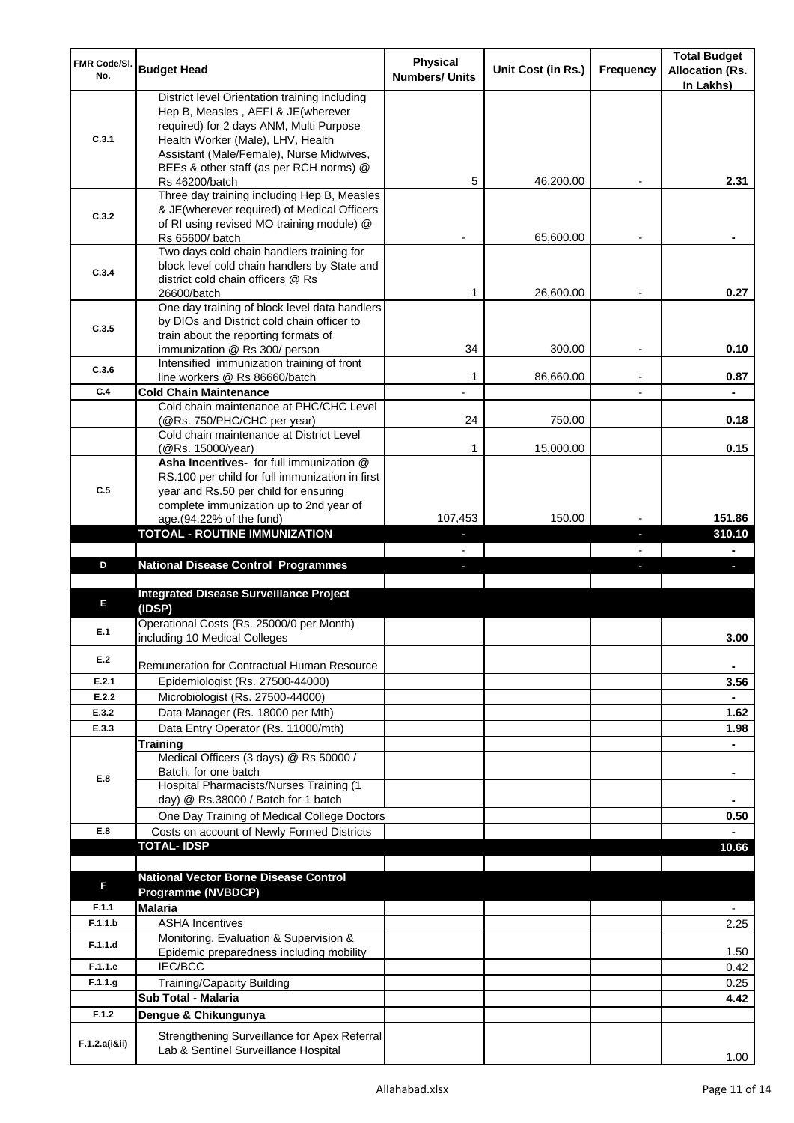| FMR Code/SI.<br>No. | <b>Budget Head</b>                                                      | Physical<br><b>Numbers/ Units</b> | Unit Cost (in Rs.) | Frequency | <b>Total Budget</b><br><b>Allocation (Rs.</b> |
|---------------------|-------------------------------------------------------------------------|-----------------------------------|--------------------|-----------|-----------------------------------------------|
|                     | District level Orientation training including                           |                                   |                    |           | In Lakhs)                                     |
|                     | Hep B, Measles, AEFI & JE(wherever                                      |                                   |                    |           |                                               |
|                     | required) for 2 days ANM, Multi Purpose                                 |                                   |                    |           |                                               |
| C.3.1               | Health Worker (Male), LHV, Health                                       |                                   |                    |           |                                               |
|                     | Assistant (Male/Female), Nurse Midwives,                                |                                   |                    |           |                                               |
|                     | BEEs & other staff (as per RCH norms) @<br>Rs 46200/batch               | 5                                 | 46.200.00          |           | 2.31                                          |
|                     | Three day training including Hep B, Measles                             |                                   |                    |           |                                               |
|                     | & JE(wherever required) of Medical Officers                             |                                   |                    |           |                                               |
| C.3.2               | of RI using revised MO training module) @                               |                                   |                    |           |                                               |
|                     | Rs 65600/ batch                                                         |                                   | 65,600.00          |           |                                               |
|                     | Two days cold chain handlers training for                               |                                   |                    |           |                                               |
| C.3.4               | block level cold chain handlers by State and                            |                                   |                    |           |                                               |
|                     | district cold chain officers @ Rs<br>26600/batch                        | 1                                 | 26,600.00          |           | 0.27                                          |
|                     | One day training of block level data handlers                           |                                   |                    |           |                                               |
|                     | by DIOs and District cold chain officer to                              |                                   |                    |           |                                               |
| C.3.5               | train about the reporting formats of                                    |                                   |                    |           |                                               |
|                     | immunization @ Rs 300/ person                                           | 34                                | 300.00             |           | 0.10                                          |
| C.3.6               | Intensified immunization training of front                              |                                   |                    |           |                                               |
|                     | line workers @ Rs 86660/batch                                           | 1                                 | 86,660.00          |           | 0.87                                          |
| C.4                 | <b>Cold Chain Maintenance</b>                                           |                                   |                    |           |                                               |
|                     | Cold chain maintenance at PHC/CHC Level                                 |                                   | 750.00             |           |                                               |
|                     | (@Rs. 750/PHC/CHC per year)<br>Cold chain maintenance at District Level | 24                                |                    |           | 0.18                                          |
|                     | (@Rs. 15000/year)                                                       | 1                                 | 15,000.00          |           | 0.15                                          |
|                     | Asha Incentives- for full immunization @                                |                                   |                    |           |                                               |
|                     | RS.100 per child for full immunization in first                         |                                   |                    |           |                                               |
| C.5                 | year and Rs.50 per child for ensuring                                   |                                   |                    |           |                                               |
|                     | complete immunization up to 2nd year of                                 |                                   |                    |           |                                               |
|                     | age.(94.22% of the fund)                                                | 107,453                           | 150.00             |           | 151.86                                        |
|                     | <b>TOTOAL - ROUTINE IMMUNIZATION</b>                                    |                                   |                    |           | 310.10                                        |
|                     |                                                                         |                                   |                    |           |                                               |
|                     | <b>National Disease Control Programmes</b>                              |                                   |                    |           |                                               |
| D                   |                                                                         |                                   |                    |           |                                               |
|                     |                                                                         |                                   |                    |           |                                               |
| Е                   | <b>Integrated Disease Surveillance Project</b>                          |                                   |                    |           |                                               |
|                     | (IDSP)                                                                  |                                   |                    |           |                                               |
| E.1                 | Operational Costs (Rs. 25000/0 per Month)                               |                                   |                    |           | 3.00                                          |
|                     | including 10 Medical Colleges                                           |                                   |                    |           |                                               |
| E.2                 | Remuneration for Contractual Human Resource                             |                                   |                    |           | ۰                                             |
| E.2.1               | Epidemiologist (Rs. 27500-44000)                                        |                                   |                    |           | 3.56                                          |
| E.2.2               | Microbiologist (Rs. 27500-44000)                                        |                                   |                    |           |                                               |
| E.3.2               | Data Manager (Rs. 18000 per Mth)                                        |                                   |                    |           | 1.62                                          |
| E.3.3               | Data Entry Operator (Rs. 11000/mth)                                     |                                   |                    |           | 1.98                                          |
|                     | Training                                                                |                                   |                    |           | ÷.                                            |
|                     | Medical Officers (3 days) @ Rs 50000 /                                  |                                   |                    |           |                                               |
| E.8                 | Batch, for one batch                                                    |                                   |                    |           | ۰                                             |
|                     | Hospital Pharmacists/Nurses Training (1                                 |                                   |                    |           |                                               |
|                     | day) @ Rs.38000 / Batch for 1 batch                                     |                                   |                    |           |                                               |
|                     | One Day Training of Medical College Doctors                             |                                   |                    |           | 0.50                                          |
| E.8                 | Costs on account of Newly Formed Districts                              |                                   |                    |           |                                               |
|                     | <b>TOTAL-IDSP</b>                                                       |                                   |                    |           | 10.66                                         |
|                     |                                                                         |                                   |                    |           |                                               |
| F                   | <b>National Vector Borne Disease Control</b>                            |                                   |                    |           |                                               |
|                     | <b>Programme (NVBDCP)</b>                                               |                                   |                    |           |                                               |
| F.1.1               | <b>Malaria</b>                                                          |                                   |                    |           | $\overline{\phantom{0}}$                      |
| F.1.1.b             | <b>ASHA Incentives</b>                                                  |                                   |                    |           | 2.25                                          |
| F.1.1.d             | Monitoring, Evaluation & Supervision &                                  |                                   |                    |           |                                               |
| F.1.1.e             | Epidemic preparedness including mobility                                |                                   |                    |           | 1.50                                          |
|                     | IEC/BCC                                                                 |                                   |                    |           | 0.42                                          |
| F.1.1.g             | <b>Training/Capacity Building</b><br>Sub Total - Malaria                |                                   |                    |           | 0.25<br>4.42                                  |
| F.1.2               |                                                                         |                                   |                    |           |                                               |
|                     | Dengue & Chikungunya<br>Strengthening Surveillance for Apex Referral    |                                   |                    |           |                                               |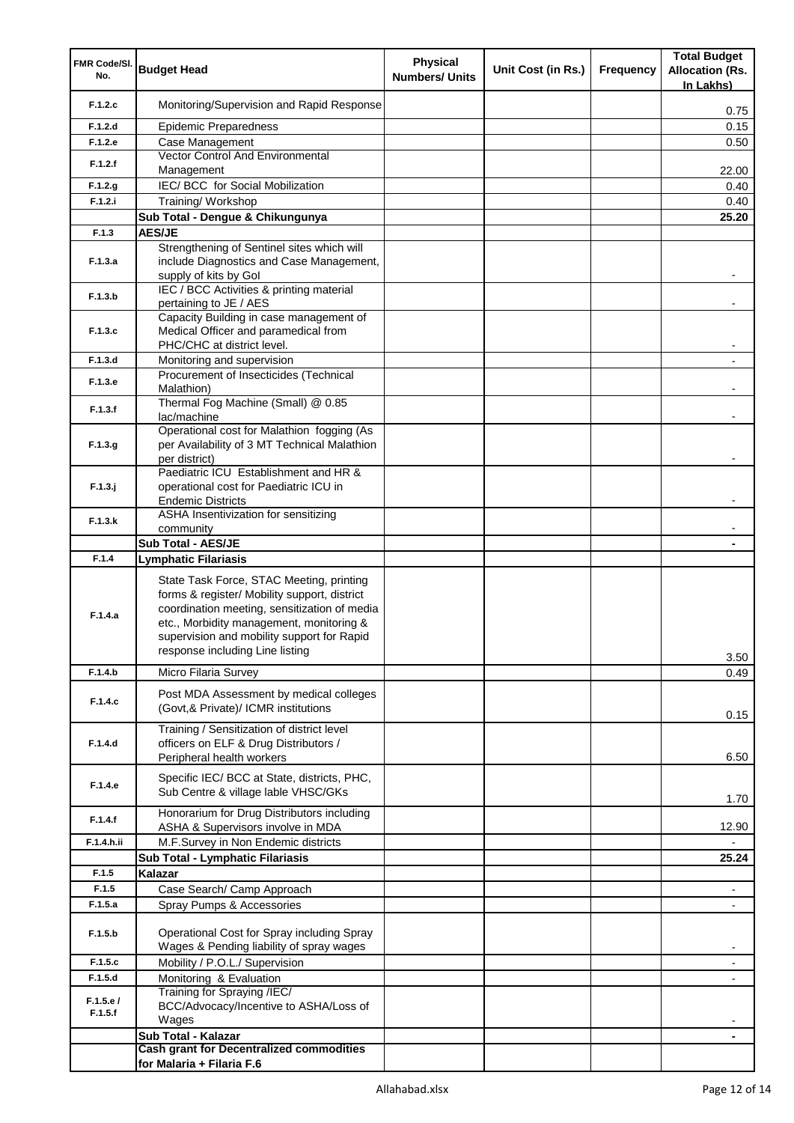| FMR Code/SI.        |                                                                                                                                                                                                                                                                       | <b>Physical</b>       |                    |                  | <b>Total Budget</b>                 |
|---------------------|-----------------------------------------------------------------------------------------------------------------------------------------------------------------------------------------------------------------------------------------------------------------------|-----------------------|--------------------|------------------|-------------------------------------|
| No.                 | <b>Budget Head</b>                                                                                                                                                                                                                                                    | <b>Numbers/ Units</b> | Unit Cost (in Rs.) | <b>Frequency</b> | <b>Allocation (Rs.</b><br>In Lakhs) |
| F.1.2.c             | Monitoring/Supervision and Rapid Response                                                                                                                                                                                                                             |                       |                    |                  | 0.75                                |
| F.1.2.d             | <b>Epidemic Preparedness</b>                                                                                                                                                                                                                                          |                       |                    |                  | 0.15                                |
| F.1.2.e             | Case Management                                                                                                                                                                                                                                                       |                       |                    |                  | 0.50                                |
| F.1.2.f             | <b>Vector Control And Environmental</b><br>Management                                                                                                                                                                                                                 |                       |                    |                  | 22.00                               |
| F.1.2.g             | IEC/ BCC for Social Mobilization                                                                                                                                                                                                                                      |                       |                    |                  | 0.40                                |
| F.1.2.i             | Training/ Workshop                                                                                                                                                                                                                                                    |                       |                    |                  | 0.40                                |
|                     | Sub Total - Dengue & Chikungunya                                                                                                                                                                                                                                      |                       |                    |                  | 25.20                               |
| F.1.3               | <b>AES/JE</b>                                                                                                                                                                                                                                                         |                       |                    |                  |                                     |
| F.1.3.a             | Strengthening of Sentinel sites which will<br>include Diagnostics and Case Management,<br>supply of kits by Gol                                                                                                                                                       |                       |                    |                  |                                     |
| F.1.3.b             | IEC / BCC Activities & printing material<br>pertaining to JE / AES                                                                                                                                                                                                    |                       |                    |                  |                                     |
| F.1.3.c             | Capacity Building in case management of<br>Medical Officer and paramedical from<br>PHC/CHC at district level.                                                                                                                                                         |                       |                    |                  |                                     |
| F.1.3.d             | Monitoring and supervision                                                                                                                                                                                                                                            |                       |                    |                  |                                     |
| F.1.3.e             | Procurement of Insecticides (Technical<br>Malathion)                                                                                                                                                                                                                  |                       |                    |                  |                                     |
| F.1.3.f             | Thermal Fog Machine (Small) @ 0.85<br>lac/machine                                                                                                                                                                                                                     |                       |                    |                  |                                     |
| F.1.3.g             | Operational cost for Malathion fogging (As<br>per Availability of 3 MT Technical Malathion<br>per district)                                                                                                                                                           |                       |                    |                  |                                     |
| $F.1.3.$ j          | Paediatric ICU Establishment and HR &<br>operational cost for Paediatric ICU in                                                                                                                                                                                       |                       |                    |                  |                                     |
|                     | <b>Endemic Districts</b><br>ASHA Insentivization for sensitizing                                                                                                                                                                                                      |                       |                    |                  |                                     |
| F.1.3.k             | community                                                                                                                                                                                                                                                             |                       |                    |                  |                                     |
|                     | <b>Sub Total - AES/JE</b>                                                                                                                                                                                                                                             |                       |                    |                  |                                     |
| F.1.4               | Lymphatic Filariasis                                                                                                                                                                                                                                                  |                       |                    |                  |                                     |
| F.1.4.a             | State Task Force, STAC Meeting, printing<br>forms & register/ Mobility support, district<br>coordination meeting, sensitization of media<br>etc., Morbidity management, monitoring &<br>supervision and mobility support for Rapid<br>response including Line listing |                       |                    |                  | 3.50                                |
| F.1.4.b             | Micro Filaria Survey                                                                                                                                                                                                                                                  |                       |                    |                  | 0.49                                |
| F.1.4.c             | Post MDA Assessment by medical colleges<br>(Govt, & Private)/ ICMR institutions                                                                                                                                                                                       |                       |                    |                  | 0.15                                |
| F.1.4.d             | Training / Sensitization of district level<br>officers on ELF & Drug Distributors /<br>Peripheral health workers                                                                                                                                                      |                       |                    |                  | 6.50                                |
| F.1.4.e             | Specific IEC/ BCC at State, districts, PHC,<br>Sub Centre & village lable VHSC/GKs                                                                                                                                                                                    |                       |                    |                  | 1.70                                |
| F.1.4.f             | Honorarium for Drug Distributors including<br>ASHA & Supervisors involve in MDA                                                                                                                                                                                       |                       |                    |                  | 12.90                               |
| F.1.4.h.ii          | M.F.Survey in Non Endemic districts                                                                                                                                                                                                                                   |                       |                    |                  |                                     |
|                     | Sub Total - Lymphatic Filariasis                                                                                                                                                                                                                                      |                       |                    |                  | 25.24                               |
| F.1.5               | Kalazar                                                                                                                                                                                                                                                               |                       |                    |                  |                                     |
| F.1.5               | Case Search/ Camp Approach                                                                                                                                                                                                                                            |                       |                    |                  | $\blacksquare$                      |
| F.1.5.a             | Spray Pumps & Accessories                                                                                                                                                                                                                                             |                       |                    |                  |                                     |
| F.1.5.b             | Operational Cost for Spray including Spray<br>Wages & Pending liability of spray wages                                                                                                                                                                                |                       |                    |                  | ۰                                   |
| F.1.5.c             | Mobility / P.O.L./ Supervision                                                                                                                                                                                                                                        |                       |                    |                  | -                                   |
| F.1.5.d             | Monitoring & Evaluation                                                                                                                                                                                                                                               |                       |                    |                  |                                     |
| F.1.5.e/<br>F.1.5.f | Training for Spraying /IEC/<br>BCC/Advocacy/Incentive to ASHA/Loss of<br>Wages                                                                                                                                                                                        |                       |                    |                  |                                     |
|                     | Sub Total - Kalazar                                                                                                                                                                                                                                                   |                       |                    |                  | ۰                                   |
|                     | <b>Cash grant for Decentralized commodities</b><br>for Malaria + Filaria F.6                                                                                                                                                                                          |                       |                    |                  |                                     |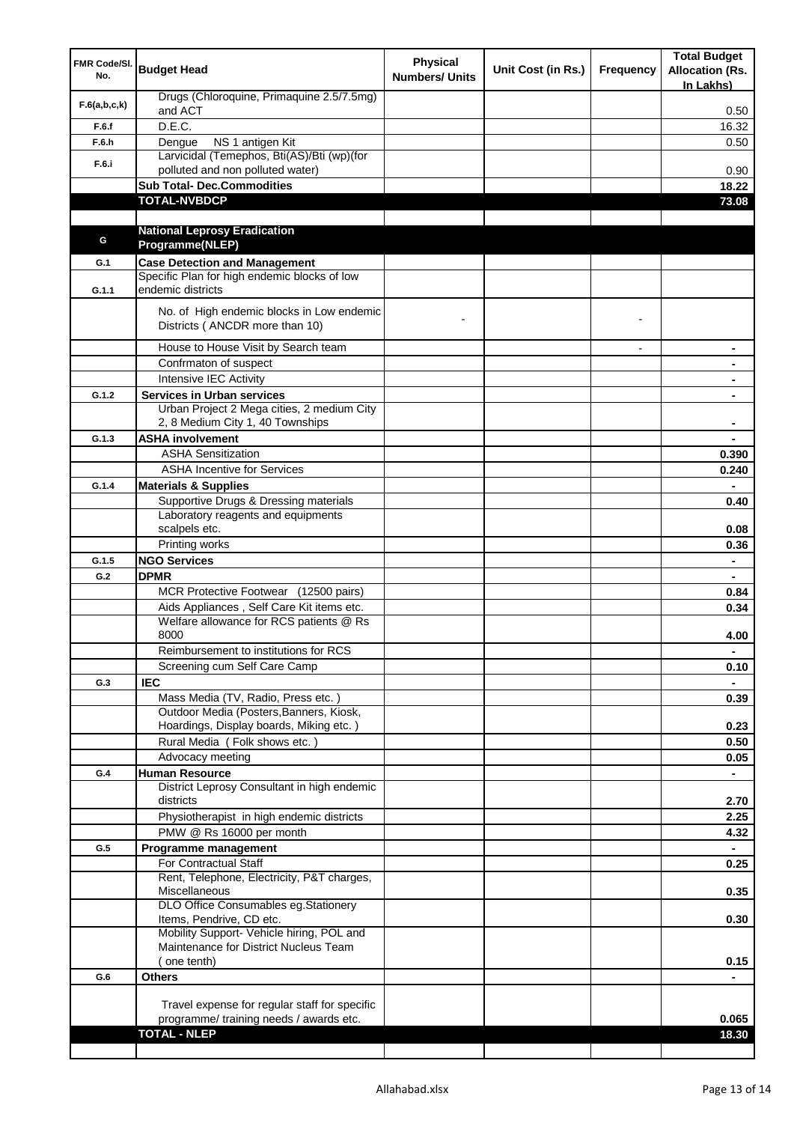| FMR Code/SI.<br>No. | <b>Budget Head</b>                                                                 | <b>Physical</b><br><b>Numbers/ Units</b> | Unit Cost (in Rs.) | Frequency                | <b>Total Budget</b><br><b>Allocation (Rs.</b><br>In Lakhs) |
|---------------------|------------------------------------------------------------------------------------|------------------------------------------|--------------------|--------------------------|------------------------------------------------------------|
| F.6(a,b,c,k)        | Drugs (Chloroquine, Primaquine 2.5/7.5mg)<br>and ACT                               |                                          |                    |                          | 0.50                                                       |
| F.6.f               | D.E.C.                                                                             |                                          |                    |                          | 16.32                                                      |
| F.6.h               | NS 1 antigen Kit<br>Dengue                                                         |                                          |                    |                          | 0.50                                                       |
| F.6.i               | Larvicidal (Temephos, Bti(AS)/Bti (wp)(for                                         |                                          |                    |                          |                                                            |
|                     | polluted and non polluted water)                                                   |                                          |                    |                          | 0.90                                                       |
|                     | <b>Sub Total- Dec.Commodities</b>                                                  |                                          |                    |                          | 18.22                                                      |
|                     | <b>TOTAL-NVBDCP</b>                                                                |                                          |                    |                          | 73.08                                                      |
|                     | <b>National Leprosy Eradication</b>                                                |                                          |                    |                          |                                                            |
| G                   | Programme(NLEP)                                                                    |                                          |                    |                          |                                                            |
| G.1                 | <b>Case Detection and Management</b>                                               |                                          |                    |                          |                                                            |
|                     | Specific Plan for high endemic blocks of low                                       |                                          |                    |                          |                                                            |
| G.1.1               | endemic districts                                                                  |                                          |                    |                          |                                                            |
|                     | No. of High endemic blocks in Low endemic<br>Districts ( ANCDR more than 10)       |                                          |                    |                          |                                                            |
|                     | House to House Visit by Search team                                                |                                          |                    | $\overline{\phantom{a}}$ | $\blacksquare$                                             |
|                     | Confrmaton of suspect                                                              |                                          |                    |                          | ۰                                                          |
|                     | <b>Intensive IEC Activity</b>                                                      |                                          |                    |                          | ۰                                                          |
| G.1.2               | <b>Services in Urban services</b>                                                  |                                          |                    |                          | ۰                                                          |
|                     | Urban Project 2 Mega cities, 2 medium City<br>2, 8 Medium City 1, 40 Townships     |                                          |                    |                          |                                                            |
| G.1.3               | <b>ASHA involvement</b>                                                            |                                          |                    |                          |                                                            |
|                     | <b>ASHA Sensitization</b>                                                          |                                          |                    |                          | 0.390                                                      |
|                     | <b>ASHA Incentive for Services</b>                                                 |                                          |                    |                          | 0.240                                                      |
| G.1.4               | <b>Materials &amp; Supplies</b>                                                    |                                          |                    |                          | ÷.                                                         |
|                     | Supportive Drugs & Dressing materials<br>Laboratory reagents and equipments        |                                          |                    |                          | 0.40                                                       |
|                     | scalpels etc.                                                                      |                                          |                    |                          | 0.08<br>0.36                                               |
| G.1.5               | Printing works<br><b>NGO Services</b>                                              |                                          |                    |                          | $\blacksquare$                                             |
| G.2                 | <b>DPMR</b>                                                                        |                                          |                    |                          |                                                            |
|                     | MCR Protective Footwear (12500 pairs)                                              |                                          |                    |                          | 0.84                                                       |
|                     | Aids Appliances, Self Care Kit items etc.                                          |                                          |                    |                          | 0.34                                                       |
|                     | Welfare allowance for RCS patients @ Rs<br>8000                                    |                                          |                    |                          | 4.00                                                       |
|                     | Reimbursement to institutions for RCS                                              |                                          |                    |                          | ٠                                                          |
|                     | Screening cum Self Care Camp                                                       |                                          |                    |                          | 0.10                                                       |
| G.3                 | <b>IEC</b>                                                                         |                                          |                    |                          |                                                            |
|                     | Mass Media (TV, Radio, Press etc.)                                                 |                                          |                    |                          | 0.39                                                       |
|                     | Outdoor Media (Posters, Banners, Kiosk,                                            |                                          |                    |                          |                                                            |
|                     | Hoardings, Display boards, Miking etc.)<br>Rural Media (Folk shows etc.)           |                                          |                    |                          | 0.23<br>0.50                                               |
|                     | Advocacy meeting                                                                   |                                          |                    |                          | 0.05                                                       |
| G.4                 | <b>Human Resource</b>                                                              |                                          |                    |                          | $\blacksquare$                                             |
|                     | District Leprosy Consultant in high endemic<br>districts                           |                                          |                    |                          | 2.70                                                       |
|                     | Physiotherapist in high endemic districts                                          |                                          |                    |                          | 2.25                                                       |
|                     | PMW @ Rs 16000 per month                                                           |                                          |                    |                          | 4.32                                                       |
| G.5                 | Programme management                                                               |                                          |                    |                          |                                                            |
|                     | For Contractual Staff                                                              |                                          |                    |                          | 0.25                                                       |
|                     | Rent, Telephone, Electricity, P&T charges,<br>Miscellaneous                        |                                          |                    |                          | 0.35                                                       |
|                     | DLO Office Consumables eg.Stationery                                               |                                          |                    |                          |                                                            |
|                     | Items, Pendrive, CD etc.                                                           |                                          |                    |                          | 0.30                                                       |
|                     | Mobility Support- Vehicle hiring, POL and<br>Maintenance for District Nucleus Team |                                          |                    |                          |                                                            |
|                     | (one tenth)                                                                        |                                          |                    |                          | 0.15                                                       |
| G.6                 | <b>Others</b>                                                                      |                                          |                    |                          |                                                            |
|                     |                                                                                    |                                          |                    |                          |                                                            |
|                     | Travel expense for regular staff for specific                                      |                                          |                    |                          |                                                            |
|                     | programme/ training needs / awards etc.                                            |                                          |                    |                          | 0.065                                                      |
|                     | <b>TOTAL - NLEP</b>                                                                |                                          |                    |                          | 18.30                                                      |
|                     |                                                                                    |                                          |                    |                          |                                                            |